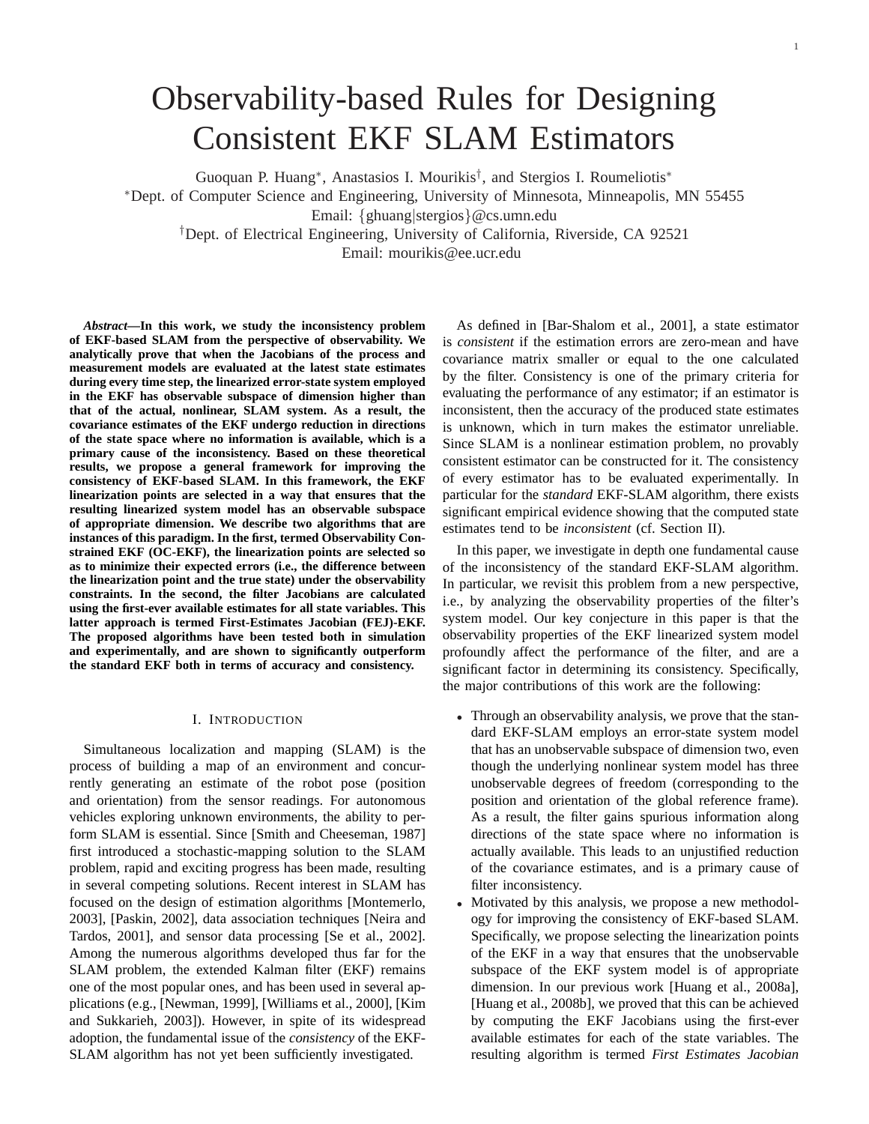# Observability-based Rules for Designing Consistent EKF SLAM Estimators

Guoquan P. Huang<sup>\*</sup>, Anastasios I. Mourikis<sup>†</sup>, and Stergios I. Roumeliotis<sup>\*</sup>

<sup>∗</sup>Dept. of Computer Science and Engineering, University of Minnesota, Minneapolis, MN 55455

Email: {ghuang|stergios}@cs.umn.edu

†Dept. of Electrical Engineering, University of California, Riverside, CA 92521

Email: mourikis@ee.ucr.edu

*Abstract***—In this work, we study the inconsistency problem of EKF-based SLAM from the perspective of observability. We analytically prove that when the Jacobians of the process and measurement models are evaluated at the latest state estimates during every time step, the linearized error-state system employed in the EKF has observable subspace of dimension higher than that of the actual, nonlinear, SLAM system. As a result, the covariance estimates of the EKF undergo reduction in directions of the state space where no information is available, which is a primary cause of the inconsistency. Based on these theoretical results, we propose a general framework for improving the consistency of EKF-based SLAM. In this framework, the EKF linearization points are selected in a way that ensures that the resulting linearized system model has an observable subspace of appropriate dimension. We describe two algorithms that are instances of this paradigm. In the first, termed Observability Constrained EKF (OC-EKF), the linearization points are selected so as to minimize their expected errors (i.e., the difference between the linearization point and the true state) under the observability constraints. In the second, the filter Jacobians are calculated using the first-ever available estimates for all state variables. This latter approach is termed First-Estimates Jacobian (FEJ)-EKF. The proposed algorithms have been tested both in simulation and experimentally, and are shown to significantly outperform the standard EKF both in terms of accuracy and consistency.**

## I. INTRODUCTION

Simultaneous localization and mapping (SLAM) is the process of building a map of an environment and concurrently generating an estimate of the robot pose (position and orientation) from the sensor readings. For autonomous vehicles exploring unknown environments, the ability to perform SLAM is essential. Since [Smith and Cheeseman, 1987] first introduced a stochastic-mapping solution to the SLAM problem, rapid and exciting progress has been made, resulting in several competing solutions. Recent interest in SLAM has focused on the design of estimation algorithms [Montemerlo, 2003], [Paskin, 2002], data association techniques [Neira and Tardos, 2001], and sensor data processing [Se et al., 2002]. Among the numerous algorithms developed thus far for the SLAM problem, the extended Kalman filter (EKF) remains one of the most popular ones, and has been used in several applications (e.g., [Newman, 1999], [Williams et al., 2000], [Kim and Sukkarieh, 2003]). However, in spite of its widespread adoption, the fundamental issue of the *consistency* of the EKF-SLAM algorithm has not yet been sufficiently investigated.

As defined in [Bar-Shalom et al., 2001], a state estimator is *consistent* if the estimation errors are zero-mean and have covariance matrix smaller or equal to the one calculated by the filter. Consistency is one of the primary criteria for evaluating the performance of any estimator; if an estimator is inconsistent, then the accuracy of the produced state estimates is unknown, which in turn makes the estimator unreliable. Since SLAM is a nonlinear estimation problem, no provably consistent estimator can be constructed for it. The consistency of every estimator has to be evaluated experimentally. In particular for the *standard* EKF-SLAM algorithm, there exists significant empirical evidence showing that the computed state estimates tend to be *inconsistent* (cf. Section II).

In this paper, we investigate in depth one fundamental cause of the inconsistency of the standard EKF-SLAM algorithm. In particular, we revisit this problem from a new perspective, i.e., by analyzing the observability properties of the filter's system model. Our key conjecture in this paper is that the observability properties of the EKF linearized system model profoundly affect the performance of the filter, and are a significant factor in determining its consistency. Specifically, the major contributions of this work are the following:

- Through an observability analysis, we prove that the standard EKF-SLAM employs an error-state system model that has an unobservable subspace of dimension two, even though the underlying nonlinear system model has three unobservable degrees of freedom (corresponding to the position and orientation of the global reference frame). As a result, the filter gains spurious information along directions of the state space where no information is actually available. This leads to an unjustified reduction of the covariance estimates, and is a primary cause of filter inconsistency.
- Motivated by this analysis, we propose a new methodology for improving the consistency of EKF-based SLAM. Specifically, we propose selecting the linearization points of the EKF in a way that ensures that the unobservable subspace of the EKF system model is of appropriate dimension. In our previous work [Huang et al., 2008a], [Huang et al., 2008b], we proved that this can be achieved by computing the EKF Jacobians using the first-ever available estimates for each of the state variables. The resulting algorithm is termed *First Estimates Jacobian*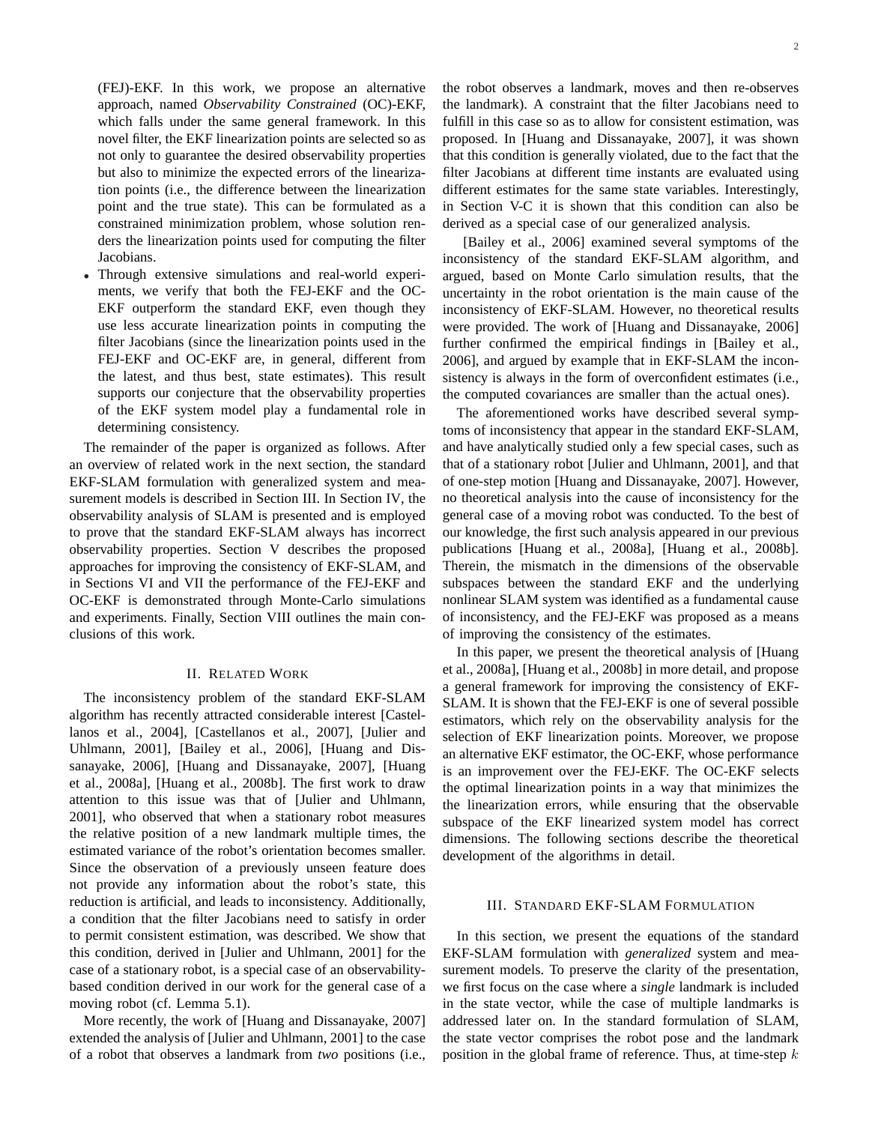(FEJ)-EKF. In this work, we propose an alternative approach, named *Observability Constrained* (OC)-EKF, which falls under the same general framework. In this novel filter, the EKF linearization points are selected so as not only to guarantee the desired observability properties but also to minimize the expected errors of the linearization points (i.e., the difference between the linearization point and the true state). This can be formulated as a constrained minimization problem, whose solution renders the linearization points used for computing the filter Jacobians.

• Through extensive simulations and real-world experiments, we verify that both the FEJ-EKF and the OC-EKF outperform the standard EKF, even though they use less accurate linearization points in computing the filter Jacobians (since the linearization points used in the FEJ-EKF and OC-EKF are, in general, different from the latest, and thus best, state estimates). This result supports our conjecture that the observability properties of the EKF system model play a fundamental role in determining consistency.

The remainder of the paper is organized as follows. After an overview of related work in the next section, the standard EKF-SLAM formulation with generalized system and measurement models is described in Section III. In Section IV, the observability analysis of SLAM is presented and is employed to prove that the standard EKF-SLAM always has incorrect observability properties. Section V describes the proposed approaches for improving the consistency of EKF-SLAM, and in Sections VI and VII the performance of the FEJ-EKF and OC-EKF is demonstrated through Monte-Carlo simulations and experiments. Finally, Section VIII outlines the main conclusions of this work.

#### II. RELATED WORK

The inconsistency problem of the standard EKF-SLAM algorithm has recently attracted considerable interest [Castellanos et al., 2004], [Castellanos et al., 2007], [Julier and Uhlmann, 2001], [Bailey et al., 2006], [Huang and Dissanayake, 2006], [Huang and Dissanayake, 2007], [Huang et al., 2008a], [Huang et al., 2008b]. The first work to draw attention to this issue was that of [Julier and Uhlmann, 2001], who observed that when a stationary robot measures the relative position of a new landmark multiple times, the estimated variance of the robot's orientation becomes smaller. Since the observation of a previously unseen feature does not provide any information about the robot's state, this reduction is artificial, and leads to inconsistency. Additionally, a condition that the filter Jacobians need to satisfy in order to permit consistent estimation, was described. We show that this condition, derived in [Julier and Uhlmann, 2001] for the case of a stationary robot, is a special case of an observabilitybased condition derived in our work for the general case of a moving robot (cf. Lemma 5.1).

More recently, the work of [Huang and Dissanayake, 2007] extended the analysis of [Julier and Uhlmann, 2001] to the case of a robot that observes a landmark from *two* positions (i.e., the robot observes a landmark, moves and then re-observes the landmark). A constraint that the filter Jacobians need to fulfill in this case so as to allow for consistent estimation, was proposed. In [Huang and Dissanayake, 2007], it was shown that this condition is generally violated, due to the fact that the filter Jacobians at different time instants are evaluated using different estimates for the same state variables. Interestingly, in Section V-C it is shown that this condition can also be derived as a special case of our generalized analysis.

[Bailey et al., 2006] examined several symptoms of the inconsistency of the standard EKF-SLAM algorithm, and argued, based on Monte Carlo simulation results, that the uncertainty in the robot orientation is the main cause of the inconsistency of EKF-SLAM. However, no theoretical results were provided. The work of [Huang and Dissanayake, 2006] further confirmed the empirical findings in [Bailey et al., 2006], and argued by example that in EKF-SLAM the inconsistency is always in the form of overconfident estimates (i.e., the computed covariances are smaller than the actual ones).

The aforementioned works have described several symptoms of inconsistency that appear in the standard EKF-SLAM, and have analytically studied only a few special cases, such as that of a stationary robot [Julier and Uhlmann, 2001], and that of one-step motion [Huang and Dissanayake, 2007]. However, no theoretical analysis into the cause of inconsistency for the general case of a moving robot was conducted. To the best of our knowledge, the first such analysis appeared in our previous publications [Huang et al., 2008a], [Huang et al., 2008b]. Therein, the mismatch in the dimensions of the observable subspaces between the standard EKF and the underlying nonlinear SLAM system was identified as a fundamental cause of inconsistency, and the FEJ-EKF was proposed as a means of improving the consistency of the estimates.

In this paper, we present the theoretical analysis of [Huang et al., 2008a], [Huang et al., 2008b] in more detail, and propose a general framework for improving the consistency of EKF-SLAM. It is shown that the FEJ-EKF is one of several possible estimators, which rely on the observability analysis for the selection of EKF linearization points. Moreover, we propose an alternative EKF estimator, the OC-EKF, whose performance is an improvement over the FEJ-EKF. The OC-EKF selects the optimal linearization points in a way that minimizes the the linearization errors, while ensuring that the observable subspace of the EKF linearized system model has correct dimensions. The following sections describe the theoretical development of the algorithms in detail.

#### III. STANDARD EKF-SLAM FORMULATION

In this section, we present the equations of the standard EKF-SLAM formulation with *generalized* system and measurement models. To preserve the clarity of the presentation, we first focus on the case where a *single* landmark is included in the state vector, while the case of multiple landmarks is addressed later on. In the standard formulation of SLAM, the state vector comprises the robot pose and the landmark position in the global frame of reference. Thus, at time-step  $k$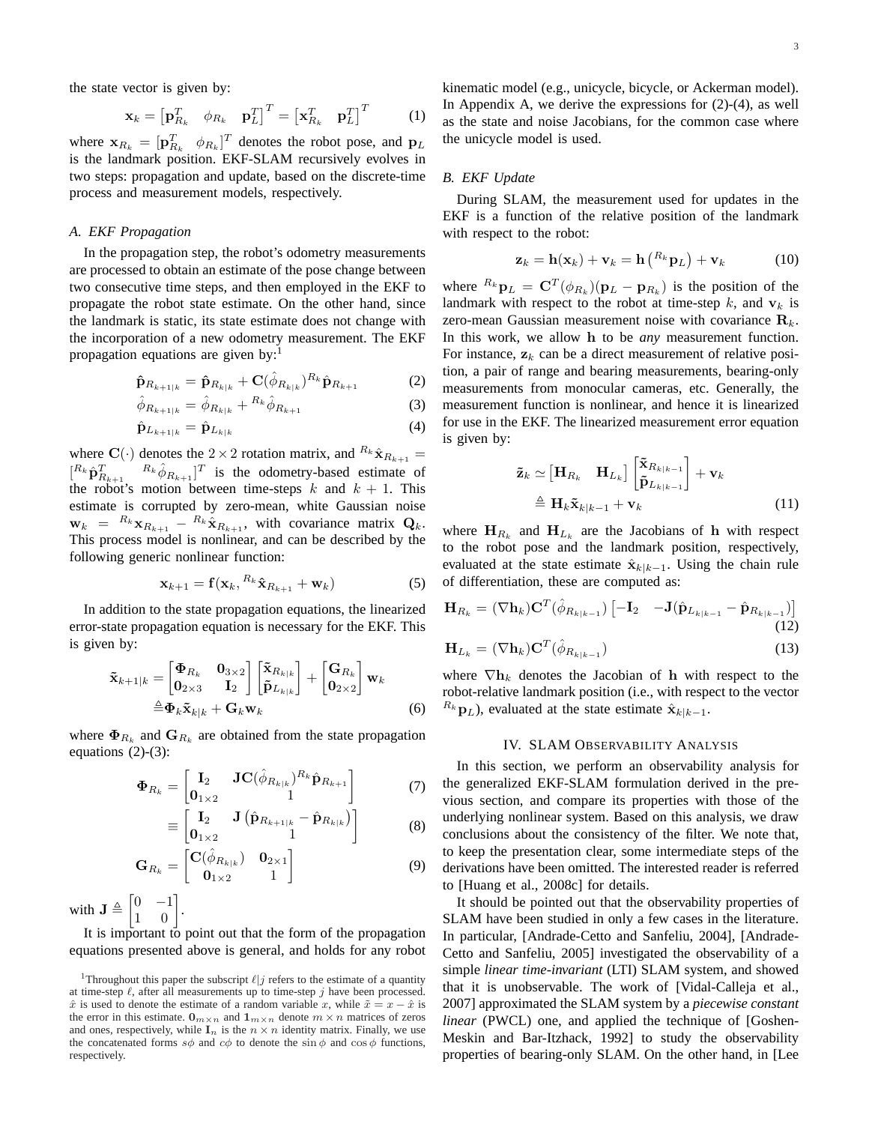the state vector is given by:

$$
\mathbf{x}_{k} = \begin{bmatrix} \mathbf{p}_{R_{k}}^{T} & \phi_{R_{k}} & \mathbf{p}_{L}^{T} \end{bmatrix}^{T} = \begin{bmatrix} \mathbf{x}_{R_{k}}^{T} & \mathbf{p}_{L}^{T} \end{bmatrix}^{T} \quad (1)
$$

where  $\mathbf{x}_{R_k} = [\mathbf{p}_{R_k}^T \quad \phi_{R_k}]^T$  denotes the robot pose, and  $\mathbf{p}_L$ is the landmark position. EKF-SLAM recursively evolves in two steps: propagation and update, based on the discrete-time process and measurement models, respectively.

## *A. EKF Propagation*

In the propagation step, the robot's odometry measurements are processed to obtain an estimate of the pose change between two consecutive time steps, and then employed in the EKF to propagate the robot state estimate. On the other hand, since the landmark is static, its state estimate does not change with the incorporation of a new odometry measurement. The EKF propagation equations are given by:<sup>1</sup>

$$
\hat{\mathbf{p}}_{R_{k+1|k}} = \hat{\mathbf{p}}_{R_{k|k}} + \mathbf{C}(\hat{\phi}_{R_{k|k}})^{R_k} \hat{\mathbf{p}}_{R_{k+1}}
$$
(2)

$$
\hat{\phi}_{R_{k+1|k}} = \hat{\phi}_{R_{k|k}} + {}^{R_k}\hat{\phi}_{R_{k+1}}
$$
\n(3)

$$
\hat{\mathbf{p}}_{L_{k+1|k}} = \hat{\mathbf{p}}_{L_{k|k}} \tag{4}
$$

where  $\mathbf{C}(\cdot)$  denotes the 2 × 2 rotation matrix, and  $R_k \hat{\mathbf{x}}_{R_{k+1}} =$  $\left[\begin{array}{cc} R_k \hat{\mathbf{p}}_{R_{k+1}}^T & R_k \hat{\phi}_{R_{k+1}} \end{array}\right]^T$  is the odometry-based estimate of the robot's motion between time-steps k and  $k + 1$ . This estimate is corrupted by zero-mean, white Gaussian noise  $\mathbf{w}_k = {R_k} \mathbf{x}_{R_{k+1}} - {R_k} \dot{\mathbf{x}}_{R_{k+1}}$ , with covariance matrix  $\mathbf{Q}_k$ . This process model is nonlinear, and can be described by the following generic nonlinear function:

$$
\mathbf{x}_{k+1} = \mathbf{f}(\mathbf{x}_k, \mathbf{R}_k \hat{\mathbf{x}}_{R_{k+1}} + \mathbf{w}_k)
$$
 (5)

In addition to the state propagation equations, the linearized error-state propagation equation is necessary for the EKF. This is given by:

$$
\tilde{\mathbf{x}}_{k+1|k} = \begin{bmatrix} \mathbf{\Phi}_{R_k} & \mathbf{0}_{3\times 2} \\ \mathbf{0}_{2\times 3} & \mathbf{I}_2 \end{bmatrix} \begin{bmatrix} \tilde{\mathbf{x}}_{R_k|k} \\ \tilde{\mathbf{p}}_{L_k|k} \end{bmatrix} + \begin{bmatrix} \mathbf{G}_{R_k} \\ \mathbf{0}_{2\times 2} \end{bmatrix} \mathbf{w}_k
$$
  
\n
$$
\triangleq \mathbf{\Phi}_k \tilde{\mathbf{x}}_{k|k} + \mathbf{G}_k \mathbf{w}_k
$$
\n(6)

where  $\Phi_{R_k}$  and  $\mathbf{G}_{R_k}$  are obtained from the state propagation equations  $(2)-(3)$ :

$$
\mathbf{\Phi}_{R_k} = \begin{bmatrix} \mathbf{I}_2 & \mathbf{J} \mathbf{C} (\hat{\phi}_{R_{k|k}})^{R_k} \hat{\mathbf{p}}_{R_{k+1}} \\ \mathbf{0}_{1 \times 2} & 1 \end{bmatrix}
$$
(7)

$$
\equiv \begin{bmatrix} \mathbf{I}_2 & \mathbf{J} \left( \hat{\mathbf{p}}_{R_{k+1|k}} - \hat{\mathbf{p}}_{R_{k|k}} \right) \\ \mathbf{0}_{1 \times 2} & 1 \end{bmatrix}
$$
(8)

$$
\mathbf{G}_{R_k} = \begin{bmatrix} \mathbf{C}(\hat{\phi}_{R_{k|k}}) & \mathbf{0}_{2\times 1} \\ \mathbf{0}_{1\times 2} & 1 \end{bmatrix}
$$
(9)

with  $J \triangleq$  $\begin{bmatrix} 0 & -1 \\ 1 & 0 \end{bmatrix}.$ 

It is important to point out that the form of the propagation equations presented above is general, and holds for any robot kinematic model (e.g., unicycle, bicycle, or Ackerman model). In Appendix A, we derive the expressions for (2)-(4), as well as the state and noise Jacobians, for the common case where the unicycle model is used.

## *B. EKF Update*

During SLAM, the measurement used for updates in the EKF is a function of the relative position of the landmark with respect to the robot:

$$
\mathbf{z}_k = \mathbf{h}(\mathbf{x}_k) + \mathbf{v}_k = \mathbf{h} \left( \begin{matrix} R_k \\ \mathbf{p}_L \end{matrix} \right) + \mathbf{v}_k \tag{10}
$$

where  ${}^{R_k}$  $\mathbf{p}_L = \mathbf{C}^T(\phi_{R_k})(\mathbf{p}_L - \mathbf{p}_{R_k})$  is the position of the landmark with respect to the robot at time-step  $k$ , and  $v_k$  is zero-mean Gaussian measurement noise with covariance  $\mathbf{R}_k$ . In this work, we allow h to be *any* measurement function. For instance,  $z_k$  can be a direct measurement of relative position, a pair of range and bearing measurements, bearing-only measurements from monocular cameras, etc. Generally, the measurement function is nonlinear, and hence it is linearized for use in the EKF. The linearized measurement error equation is given by: ·  $\overline{a}$ 

$$
\tilde{\mathbf{z}}_k \simeq \begin{bmatrix} \mathbf{H}_{R_k} & \mathbf{H}_{L_k} \end{bmatrix} \begin{bmatrix} \tilde{\mathbf{x}}_{R_{k|k-1}} \\ \tilde{\mathbf{p}}_{L_{k|k-1}} \end{bmatrix} + \mathbf{v}_k
$$
\n
$$
\triangleq \mathbf{H}_k \tilde{\mathbf{x}}_{k|k-1} + \mathbf{v}_k
$$
\n(11)

where  $H_{R_k}$  and  $H_{L_k}$  are the Jacobians of h with respect to the robot pose and the landmark position, respectively, evaluated at the state estimate  $\hat{\mathbf{x}}_{k|k-1}$ . Using the chain rule of differentiation, these are computed as:

$$
\mathbf{H}_{R_k} = (\nabla \mathbf{h}_k) \mathbf{C}^T (\hat{\phi}_{R_{k|k-1}}) \begin{bmatrix} -\mathbf{I}_2 & -\mathbf{J} (\hat{\mathbf{p}}_{L_{k|k-1}} - \hat{\mathbf{p}}_{R_{k|k-1}}) \end{bmatrix}
$$
(12)

$$
\mathbf{H}_{L_k} = (\nabla \mathbf{h}_k) \mathbf{C}^T (\hat{\phi}_{R_{k|k-1}}) \tag{13}
$$

where  $\nabla \mathbf{h}_k$  denotes the Jacobian of h with respect to the robot-relative landmark position (i.e., with respect to the vector  $R_k$  p<sub>L</sub>), evaluated at the state estimate  $\hat{\mathbf{x}}_{k|k-1}$ .

#### IV. SLAM OBSERVABILITY ANALYSIS

In this section, we perform an observability analysis for the generalized EKF-SLAM formulation derived in the previous section, and compare its properties with those of the underlying nonlinear system. Based on this analysis, we draw conclusions about the consistency of the filter. We note that, to keep the presentation clear, some intermediate steps of the derivations have been omitted. The interested reader is referred to [Huang et al., 2008c] for details.

It should be pointed out that the observability properties of SLAM have been studied in only a few cases in the literature. In particular, [Andrade-Cetto and Sanfeliu, 2004], [Andrade-Cetto and Sanfeliu, 2005] investigated the observability of a simple *linear time-invariant* (LTI) SLAM system, and showed that it is unobservable. The work of [Vidal-Calleja et al., 2007] approximated the SLAM system by a *piecewise constant linear* (PWCL) one, and applied the technique of [Goshen-Meskin and Bar-Itzhack, 1992] to study the observability properties of bearing-only SLAM. On the other hand, in [Lee

<sup>&</sup>lt;sup>1</sup>Throughout this paper the subscript  $\ell|j$  refers to the estimate of a quantity at time-step  $\ell$ , after all measurements up to time-step  $j$  have been processed.  $\hat{x}$  is used to denote the estimate of a random variable x, while  $\tilde{x} = x - \hat{x}$  is the error in this estimate.  $\mathbf{0}_{m \times n}$  and  $\mathbf{1}_{m \times n}$  denote  $m \times n$  matrices of zeros and ones, respectively, while  $I_n$  is the  $n \times n$  identity matrix. Finally, we use the concatenated forms  $s\phi$  and  $c\phi$  to denote the sin  $\phi$  and  $\cos \phi$  functions, respectively.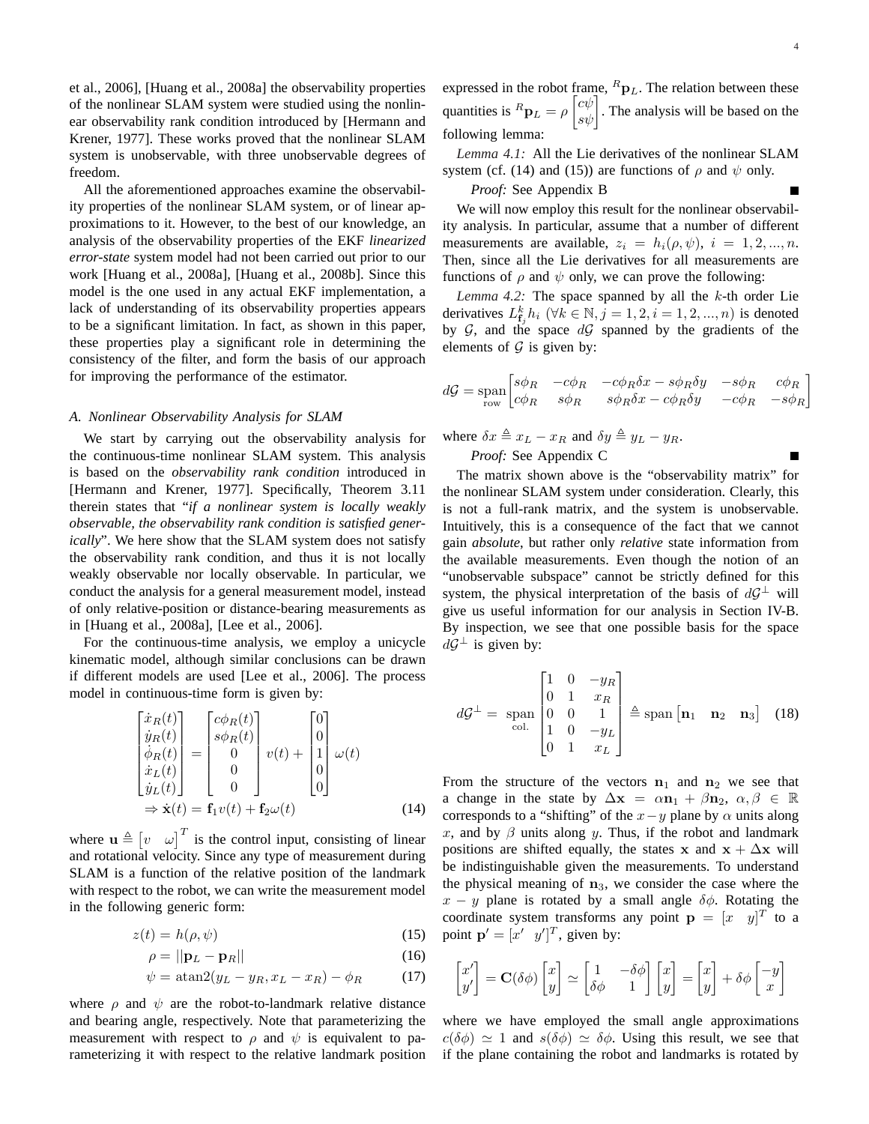et al., 2006], [Huang et al., 2008a] the observability properties of the nonlinear SLAM system were studied using the nonlinear observability rank condition introduced by [Hermann and Krener, 1977]. These works proved that the nonlinear SLAM system is unobservable, with three unobservable degrees of freedom.

All the aforementioned approaches examine the observability properties of the nonlinear SLAM system, or of linear approximations to it. However, to the best of our knowledge, an analysis of the observability properties of the EKF *linearized error-state* system model had not been carried out prior to our work [Huang et al., 2008a], [Huang et al., 2008b]. Since this model is the one used in any actual EKF implementation, a lack of understanding of its observability properties appears to be a significant limitation. In fact, as shown in this paper, these properties play a significant role in determining the consistency of the filter, and form the basis of our approach for improving the performance of the estimator.

#### *A. Nonlinear Observability Analysis for SLAM*

We start by carrying out the observability analysis for the continuous-time nonlinear SLAM system. This analysis is based on the *observability rank condition* introduced in [Hermann and Krener, 1977]. Specifically, Theorem 3.11 therein states that "*if a nonlinear system is locally weakly observable, the observability rank condition is satisfied generically*". We here show that the SLAM system does not satisfy the observability rank condition, and thus it is not locally weakly observable nor locally observable. In particular, we conduct the analysis for a general measurement model, instead of only relative-position or distance-bearing measurements as in [Huang et al., 2008a], [Lee et al., 2006].

For the continuous-time analysis, we employ a unicycle kinematic model, although similar conclusions can be drawn if different models are used [Lee et al., 2006]. The process model in continuous-time form is given by:

$$
\begin{bmatrix}\n\dot{x}_R(t) \\
\dot{y}_R(t) \\
\dot{\phi}_R(t) \\
\dot{x}_L(t) \\
\dot{y}_L(t)\n\end{bmatrix} = \begin{bmatrix}\nc\phi_R(t) \\
s\phi_R(t) \\
0 \\
0 \\
0 \\
0\n\end{bmatrix} v(t) + \begin{bmatrix}\n0 \\
0 \\
1 \\
0 \\
0 \\
0\n\end{bmatrix} \omega(t) \n\Rightarrow \dot{\mathbf{x}}(t) = \mathbf{f}_1 v(t) + \mathbf{f}_2 \omega(t)
$$
\n(14)

where  $\mathbf{u} \triangleq$  $\begin{bmatrix} v & \omega \end{bmatrix}^T$  is the control input, consisting of linear and rotational velocity. Since any type of measurement during SLAM is a function of the relative position of the landmark with respect to the robot, we can write the measurement model in the following generic form:

$$
z(t) = h(\rho, \psi) \tag{15}
$$

$$
\rho = ||\mathbf{p}_L - \mathbf{p}_R||\tag{16}
$$

$$
\psi = \operatorname{atan2}(y_L - y_R, x_L - x_R) - \phi_R \tag{17}
$$

where  $\rho$  and  $\psi$  are the robot-to-landmark relative distance and bearing angle, respectively. Note that parameterizing the measurement with respect to  $\rho$  and  $\psi$  is equivalent to parameterizing it with respect to the relative landmark position expressed in the robot frame,  ${}^{R}P_{L}$ . The relation between these expressed in the robot frame,  ${}^{t}\mathbf{p}_L$ . The relation between these<br>quantities is  ${}^{R}\mathbf{p}_L = \rho \begin{bmatrix} c\psi \\ s\psi \end{bmatrix}$ . The analysis will be based on the following lemma:

*Lemma 4.1:* All the Lie derivatives of the nonlinear SLAM system (cf. (14) and (15)) are functions of  $\rho$  and  $\psi$  only.

#### *Proof:* See Appendix B

We will now employ this result for the nonlinear observability analysis. In particular, assume that a number of different measurements are available,  $z_i = h_i(\rho, \psi)$ ,  $i = 1, 2, ..., n$ . Then, since all the Lie derivatives for all measurements are functions of  $\rho$  and  $\psi$  only, we can prove the following:

*Lemma 4.2:* The space spanned by all the k-th order Lie derivatives  $L_{\mathbf{f}_j}^k h_i$  ( $\forall k \in \mathbb{N}, j = 1, 2, i = 1, 2, ..., n$ ) is denoted by  $G$ , and the space  $dG$  spanned by the gradients of the elements of  $G$  is given by:

$$
d\mathcal{G} = \text{span}\begin{bmatrix} s\phi_R & -c\phi_R & -c\phi_R \delta x - s\phi_R \delta y & -s\phi_R & c\phi_R \\ c\phi_R & s\phi_R & s\phi_R \delta x - c\phi_R \delta y & -c\phi_R & -s\phi_R \end{bmatrix}
$$

where  $\delta x \triangleq x_L - x_R$  and  $\delta y \triangleq y_L - y_R$ .

# *Proof:* See Appendix C

The matrix shown above is the "observability matrix" for the nonlinear SLAM system under consideration. Clearly, this is not a full-rank matrix, and the system is unobservable. Intuitively, this is a consequence of the fact that we cannot gain *absolute*, but rather only *relative* state information from the available measurements. Even though the notion of an "unobservable subspace" cannot be strictly defined for this system, the physical interpretation of the basis of  $dG^{\perp}$  will give us useful information for our analysis in Section IV-B. By inspection, we see that one possible basis for the space  $d\mathcal{G}^{\perp}$  is given by:

$$
dG^{\perp} = \text{span}\begin{bmatrix} 1 & 0 & -y_R \\ 0 & 1 & x_R \\ 0 & 0 & 1 \\ 1 & 0 & -y_L \\ 0 & 1 & x_L \end{bmatrix} \triangleq \text{span}\begin{bmatrix} \mathbf{n}_1 & \mathbf{n}_2 & \mathbf{n}_3 \end{bmatrix} \quad (18)
$$

From the structure of the vectors  $n_1$  and  $n_2$  we see that a change in the state by  $\Delta x = \alpha n_1 + \beta n_2, \ \alpha, \beta \in \mathbb{R}$ corresponds to a "shifting" of the  $x-y$  plane by  $\alpha$  units along x, and by  $\beta$  units along y. Thus, if the robot and landmark positions are shifted equally, the states x and  $x + \Delta x$  will be indistinguishable given the measurements. To understand the physical meaning of  $n_3$ , we consider the case where the  $x - y$  plane is rotated by a small angle  $\delta \phi$ . Rotating the coordinate system transforms any point  $\mathbf{p} = \begin{bmatrix} x & y \end{bmatrix}^T$  to a point  $\mathbf{p}' = [x' \ y']^T$ , given by:

$$
\begin{bmatrix} x' \\ y' \end{bmatrix} = \mathbf{C}(\delta \phi) \begin{bmatrix} x \\ y \end{bmatrix} \simeq \begin{bmatrix} 1 & -\delta \phi \\ \delta \phi & 1 \end{bmatrix} \begin{bmatrix} x \\ y \end{bmatrix} = \begin{bmatrix} x \\ y \end{bmatrix} + \delta \phi \begin{bmatrix} -y \\ x \end{bmatrix}
$$

where we have employed the small angle approximations  $c(\delta \phi) \simeq 1$  and  $s(\delta \phi) \simeq \delta \phi$ . Using this result, we see that if the plane containing the robot and landmarks is rotated by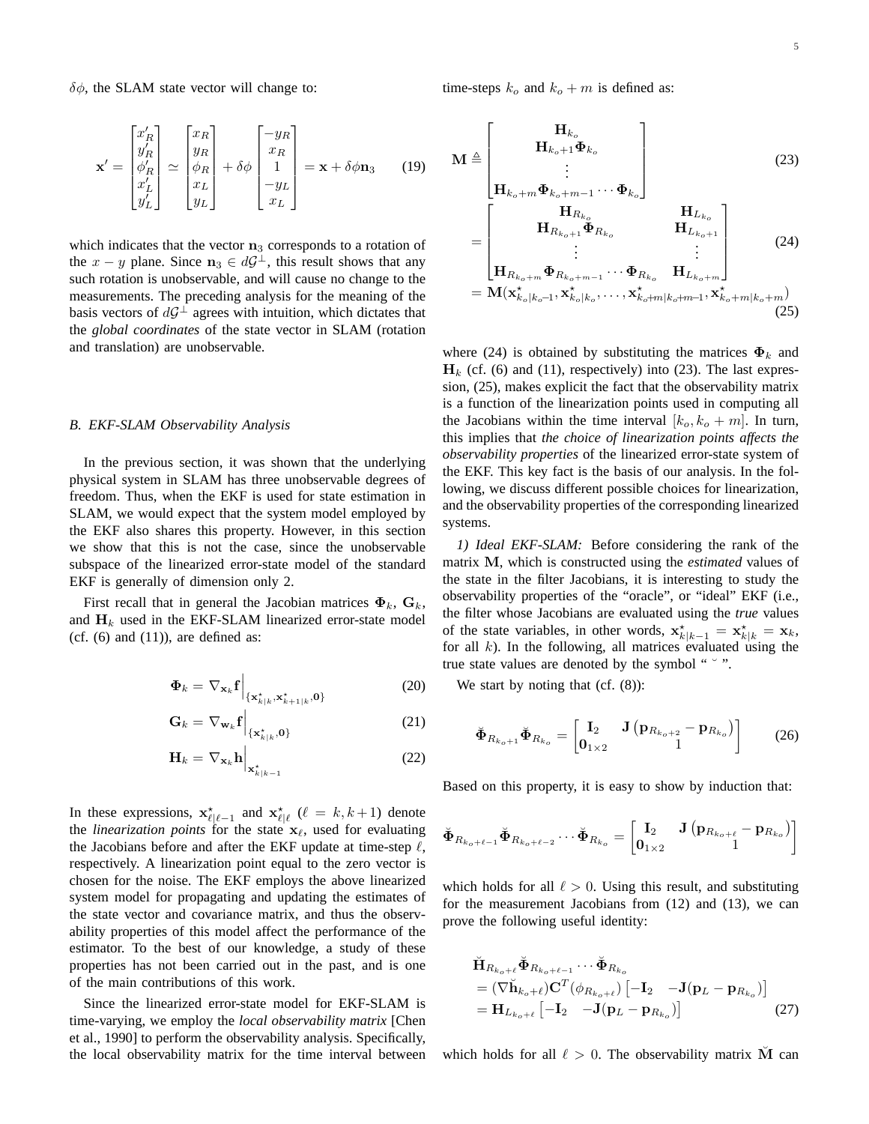$\delta\phi$ , the SLAM state vector will change to:

$$
\mathbf{x}' = \begin{bmatrix} x'_R \\ y'_R \\ \phi'_R \\ x'_L \\ y'_L \end{bmatrix} \simeq \begin{bmatrix} x_R \\ y_R \\ \phi_R \\ x_L \\ y_L \end{bmatrix} + \delta\phi \begin{bmatrix} -y_R \\ x_R \\ 1 \\ -y_L \\ x_L \end{bmatrix} = \mathbf{x} + \delta\phi \mathbf{n}_3 \qquad (19)
$$

which indicates that the vector  $n_3$  corresponds to a rotation of the  $x - y$  plane. Since  $n_3 \in d\mathcal{G}^{\perp}$ , this result shows that any such rotation is unobservable, and will cause no change to the measurements. The preceding analysis for the meaning of the basis vectors of  $d\mathcal{G}^{\perp}$  agrees with intuition, which dictates that the *global coordinates* of the state vector in SLAM (rotation and translation) are unobservable.

## *B. EKF-SLAM Observability Analysis*

In the previous section, it was shown that the underlying physical system in SLAM has three unobservable degrees of freedom. Thus, when the EKF is used for state estimation in SLAM, we would expect that the system model employed by the EKF also shares this property. However, in this section we show that this is not the case, since the unobservable subspace of the linearized error-state model of the standard EKF is generally of dimension only 2.

First recall that in general the Jacobian matrices  $\Phi_k$ ,  $\mathbf{G}_k$ , and  $H_k$  used in the EKF-SLAM linearized error-state model  $(cf. (6) and (11))$ , are defined as:

$$
\Phi_k = \nabla_{\mathbf{x}_k} \mathbf{f} \Big|_{\{\mathbf{x}_{k|k}^{\star}, \mathbf{x}_{k+1|k}^{\star}, \mathbf{0}\}} \tag{20}
$$

$$
\mathbf{G}_k = \nabla_{\mathbf{w}_k} \mathbf{f} \Big|_{\{\mathbf{x}_{k|k}^{\star}, \mathbf{0}\}} \tag{21}
$$

$$
\mathbf{H}_k = \nabla_{\mathbf{x}_k} \mathbf{h} \Big|_{\mathbf{x}_{k|k-1}^{\star}}
$$
 (22)

In these expressions,  $\mathbf{x}_{\ell|\ell-1}^{\star}$  and  $\mathbf{x}_{\ell|\ell}^{\star}$  ( $\ell = k, k+1$ ) denote the *linearization points* for the state  $x_\ell$ , used for evaluating the Jacobians before and after the EKF update at time-step  $\ell$ , respectively. A linearization point equal to the zero vector is chosen for the noise. The EKF employs the above linearized system model for propagating and updating the estimates of the state vector and covariance matrix, and thus the observability properties of this model affect the performance of the estimator. To the best of our knowledge, a study of these properties has not been carried out in the past, and is one of the main contributions of this work.

Since the linearized error-state model for EKF-SLAM is time-varying, we employ the *local observability matrix* [Chen et al., 1990] to perform the observability analysis. Specifically, the local observability matrix for the time interval between time-steps  $k_o$  and  $k_o + m$  is defined as:

$$
\mathbf{M} \triangleq \begin{bmatrix}\n\mathbf{H}_{k_o} \\
\mathbf{H}_{k_o+1} \boldsymbol{\Phi}_{k_o} \\
\vdots \\
\mathbf{H}_{k_o+m} \boldsymbol{\Phi}_{k_o+m-1} \cdots \boldsymbol{\Phi}_{k_o}\n\end{bmatrix}
$$
\n(23)\n
$$
= \begin{bmatrix}\n\mathbf{H}_{R_{k_o}} \\
\mathbf{H}_{R_{k_o+1}} \boldsymbol{\Phi}_{R_{k_o}} \\
\vdots \\
\mathbf{H}_{R_{k_o+n}} \boldsymbol{\Phi}_{R_{k_o+m-1}} \cdots \boldsymbol{\Phi}_{R_{k_o}} \\
\vdots \\
\mathbf{H}_{R_{k_o+n}} \boldsymbol{\Phi}_{R_{k_o+m-1}} \cdots \boldsymbol{\Phi}_{R_{k_o}} \\
\mathbf{H}_{L_{k_o+n}}\n\end{bmatrix}
$$
\n(24)\n
$$
= \mathbf{M}(\mathbf{x}_{k_o|k_o-1}^{\star}, \mathbf{x}_{k_o|k_o}^{\star}, \dots, \mathbf{x}_{k_o+m|k_o+m-1}^{\star}, \mathbf{x}_{k_o+m|k_o+m}^{\star})
$$
\n(25)

where (24) is obtained by substituting the matrices  $\Phi_k$  and  $\mathbf{H}_k$  (cf. (6) and (11), respectively) into (23). The last expression, (25), makes explicit the fact that the observability matrix is a function of the linearization points used in computing all the Jacobians within the time interval  $[k_o, k_o + m]$ . In turn, this implies that *the choice of linearization points affects the observability properties* of the linearized error-state system of the EKF. This key fact is the basis of our analysis. In the following, we discuss different possible choices for linearization, and the observability properties of the corresponding linearized systems.

*1) Ideal EKF-SLAM:* Before considering the rank of the matrix M, which is constructed using the *estimated* values of the state in the filter Jacobians, it is interesting to study the observability properties of the "oracle", or "ideal" EKF (i.e., the filter whose Jacobians are evaluated using the *true* values of the state variables, in other words,  $\mathbf{x}_{k|k-1}^* = \mathbf{x}_{k|k}^* = \mathbf{x}_k$ , for all  $k$ ). In the following, all matrices evaluated using the true state values are denoted by the symbol " $\degree$ ".

We start by noting that (cf.  $(8)$ ):

$$
\breve{\mathbf{\Phi}}_{R_{k_o+1}} \breve{\mathbf{\Phi}}_{R_{k_o}} = \begin{bmatrix} \mathbf{I}_2 & \mathbf{J} \left( \mathbf{p}_{R_{k_o+2}} - \mathbf{p}_{R_{k_o}} \right) \\ \mathbf{0}_{1 \times 2} & 1 \end{bmatrix}
$$
 (26)

Based on this property, it is easy to show by induction that:

$$
\breve{\mathbf{\Phi}}_{R_{k_o+\ell-1}}\breve{\mathbf{\Phi}}_{R_{k_o+\ell-2}}\cdots \breve{\mathbf{\Phi}}_{R_{k_o}} = \begin{bmatrix} \mathbf{I}_2 & \mathbf{J} \left(\mathbf{p}_{R_{k_o+\ell}} - \mathbf{p}_{R_{k_o}}\right) \\ \mathbf{0}_{1\times 2} & 1 \end{bmatrix}
$$

which holds for all  $\ell > 0$ . Using this result, and substituting for the measurement Jacobians from (12) and (13), we can prove the following useful identity:

$$
\tilde{\mathbf{H}}_{R_{k_o+\ell}} \tilde{\mathbf{\Phi}}_{R_{k_o+\ell-1}} \cdots \tilde{\mathbf{\Phi}}_{R_{k_o}}\n\n= (\nabla \tilde{\mathbf{h}}_{k_o+\ell}) \mathbf{C}^T (\phi_{R_{k_o+\ell}}) [-\mathbf{I}_2 \quad -\mathbf{J}(\mathbf{p}_L - \mathbf{p}_{R_{k_o}})]\n\n= \mathbf{H}_{L_{k_o+\ell}} [-\mathbf{I}_2 \quad -\mathbf{J}(\mathbf{p}_L - \mathbf{p}_{R_{k_o}})]
$$
\n(27)

which holds for all  $\ell > 0$ . The observability matrix M can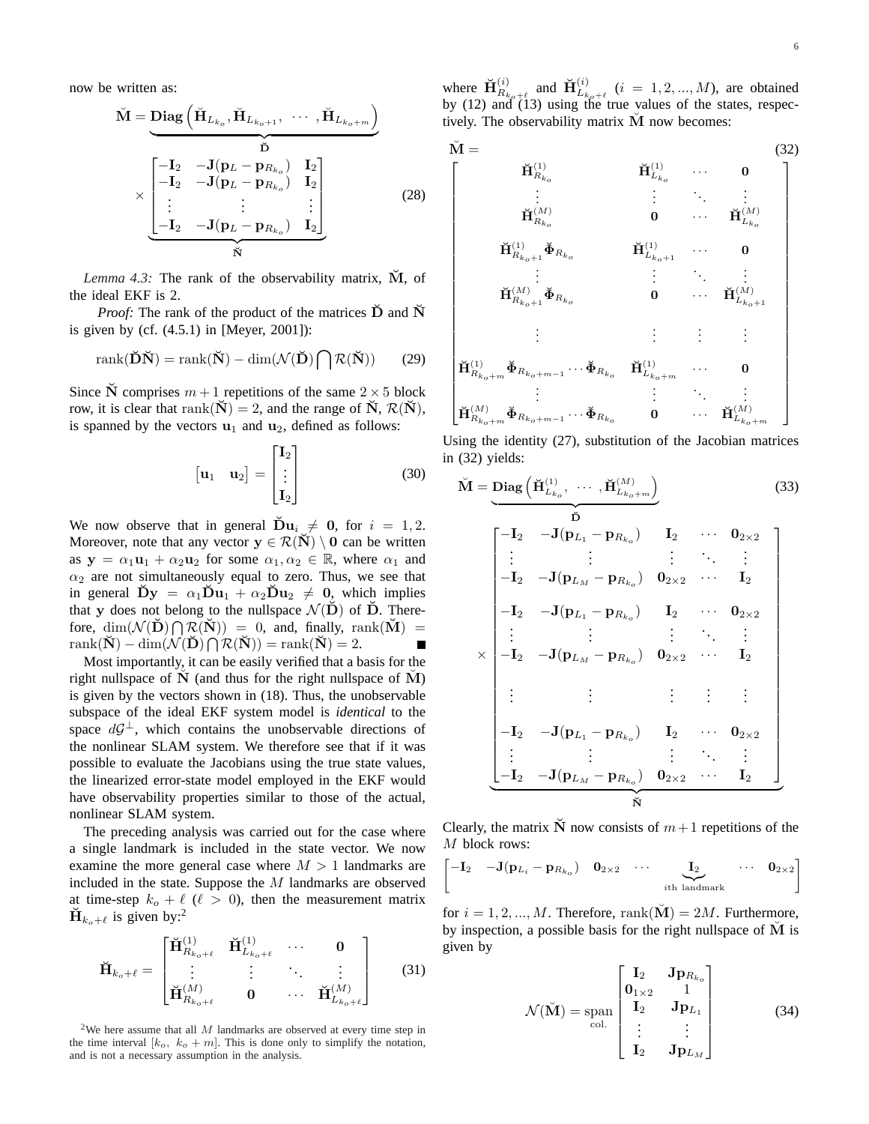now be written as:

$$
\tilde{\mathbf{M}} = \underbrace{\mathbf{Diag} \left( \breve{\mathbf{H}}_{L_{k_o}}, \breve{\mathbf{H}}_{L_{k_o+1}}, \cdots, \breve{\mathbf{H}}_{L_{k_o+m}} \right)}_{\times} \times \underbrace{\begin{bmatrix} -\mathbf{I}_2 & -\mathbf{J} (\mathbf{p}_L - \mathbf{p}_{R_{k_o}}) & \mathbf{I}_2 \\ -\mathbf{I}_2 & -\mathbf{J} (\mathbf{p}_L - \mathbf{p}_{R_{k_o}}) & \mathbf{I}_2 \\ \vdots & \vdots & \vdots \\ -\mathbf{I}_2 & -\mathbf{J} (\mathbf{p}_L - \mathbf{p}_{R_{k_o}}) & \mathbf{I}_2 \end{bmatrix}}_{\tilde{\mathbf{N}}}
$$
\n(28)

*Lemma 4.3:* The rank of the observability matrix,  $\tilde{M}$ , of the ideal EKF is 2.

*Proof:* The rank of the product of the matrices  $\check{D}$  and  $\check{N}$ is given by  $(cf. (4.5.1)$  in [Meyer, 2001]):

$$
rank(\breve{\mathbf{D}}\breve{\mathbf{N}}) = rank(\breve{\mathbf{N}}) - dim(\mathcal{N}(\breve{\mathbf{D}})\bigcap \mathcal{R}(\breve{\mathbf{N}}))
$$
 (29)

Since  $\tilde{N}$  comprises  $m + 1$  repetitions of the same  $2 \times 5$  block row, it is clear that rank( $\tilde{N}$ ) = 2, and the range of  $\tilde{N}$ ,  $\mathcal{R}(\tilde{N})$ , is spanned by the vectors  $\mathbf{u}_1$  and  $\mathbf{u}_2$ , defined as follows:

$$
\begin{bmatrix} \mathbf{u}_1 & \mathbf{u}_2 \end{bmatrix} = \begin{bmatrix} \mathbf{I}_2 \\ \vdots \\ \mathbf{I}_2 \end{bmatrix} \tag{30}
$$

We now observe that in general  $\mathbf{\check{D}}\mathbf{u}_i \neq \mathbf{0}$ , for  $i = 1, 2$ . Moreover, note that any vector  $y \in \mathcal{R}(N) \setminus 0$  can be written as  $y = \alpha_1 u_1 + \alpha_2 u_2$  for some  $\alpha_1, \alpha_2 \in \mathbb{R}$ , where  $\alpha_1$  and  $\alpha_2$  are not simultaneously equal to zero. Thus, we see that in general  $\tilde{D}y = \alpha_1 \tilde{D}u_1 + \alpha_2 \tilde{D}u_2 \neq 0$ , which implies that y does not belong to the nullspace  $\mathcal{N}(\mathbf{D})$  of  $\mathbf{D}$ . Therefore,  $\dim(\mathcal{N}(\mathbf{D}) \cap \mathcal{R}(\mathbf{N})) = 0$ , and, finally, rank $(\mathbf{M}) =$  $rank(\breve{N}) - dim(\mathcal{N}(\breve{D}) \bigcap \mathcal{R}(\breve{N})) = rank(\breve{N}) = 2.$ 

Most importantly, it can be easily verified that a basis for the right nullspace of  $\dot{N}$  (and thus for the right nullspace of  $\dot{M}$ ) is given by the vectors shown in (18). Thus, the unobservable subspace of the ideal EKF system model is *identical* to the space  $d\mathcal{G}^{\perp}$ , which contains the unobservable directions of the nonlinear SLAM system. We therefore see that if it was possible to evaluate the Jacobians using the true state values, the linearized error-state model employed in the EKF would have observability properties similar to those of the actual, nonlinear SLAM system.

The preceding analysis was carried out for the case where a single landmark is included in the state vector. We now examine the more general case where  $M > 1$  landmarks are included in the state. Suppose the M landmarks are observed at time-step  $k_o + \ell$  ( $\ell > 0$ ), then the measurement matrix  $\check{H}_{k_0+\ell}$  is given by:<sup>2</sup>

$$
\breve{\mathbf{H}}_{k_o+\ell} = \begin{bmatrix} \breve{\mathbf{H}}_{R_{k_o+\ell}}^{(1)} & \breve{\mathbf{H}}_{L_{k_o+\ell}}^{(1)} & \cdots & \mathbf{0} \\ \vdots & \vdots & \ddots & \vdots \\ \breve{\mathbf{H}}_{R_{k_o+\ell}}^{(M)} & \mathbf{0} & \cdots & \breve{\mathbf{H}}_{L_{k_o+\ell}}^{(M)} \end{bmatrix}
$$
(31)

<sup>2</sup>We here assume that all  $M$  landmarks are observed at every time step in the time interval  $[k_o, k_o + m]$ . This is done only to simplify the notation, and is not a necessary assumption in the analysis.

where  $\check{H}_{R_{k_o+\ell}}^{(i)}$  and  $\check{H}_{L_{k_o+\ell}}^{(i)}$  ( $i = 1, 2, ..., M$ ), are obtained by (12) and (13) using the true values of the states, respec-

$$
\widetilde{\mathbf{M}} = \begin{bmatrix}\n\widetilde{\mathbf{H}}_{R_{k_o}}^{(1)} & \widetilde{\mathbf{H}}_{L_{k_o}}^{(1)} & \cdots & 0 \\
\vdots & \vdots & \vdots & \ddots & \vdots \\
\widetilde{\mathbf{H}}_{R_{k_o}}^{(M)} & 0 & \cdots & \widetilde{\mathbf{H}}_{L_{k_o}}^{(M)} \\
\vdots & \vdots & \ddots & \vdots \\
\widetilde{\mathbf{H}}_{R_{k_o+1}}^{(M)} \widetilde{\Phi}_{R_{k_o}} & \widetilde{\mathbf{H}}_{L_{k_o+1}}^{(1)} & \cdots & 0 \\
\vdots & \vdots & \ddots & \vdots \\
\widetilde{\mathbf{H}}_{R_{k_o+m}}^{(M)} \widetilde{\Phi}_{R_{k_o}} & 0 & \cdots & \widetilde{\mathbf{H}}_{L_{k_o+1}}^{(M)} \\
\vdots & \vdots & \vdots & \vdots \\
\widetilde{\mathbf{H}}_{R_{k_o+m}}^{(1)} \widetilde{\Phi}_{R_{k_o+m-1}} & \cdots \widetilde{\Phi}_{R_{k_o}} & \widetilde{\mathbf{H}}_{L_{k_o+m}}^{(1)} & \cdots & 0 \\
\vdots & \vdots & \ddots & \vdots \\
\widetilde{\mathbf{H}}_{R_{k_o+m}}^{(M)} \widetilde{\Phi}_{R_{k_o+m-1}} & \cdots \widetilde{\Phi}_{R_{k_o}} & 0 & \cdots & \widetilde{\mathbf{H}}_{L_{k_o+m}}^{(M)}\n\end{bmatrix}
$$
\n(32)

tively. The observability matrix  $M$  now becomes:

Using the identity (27), substitution of the Jacobian matrices in (32) yields:

$$
\tilde{M} = \underbrace{\text{Diag}(\breve{H}_{L_{k_o}}^{(1)}, \cdots, \breve{H}_{L_{k_o+m}}^{(M)})}_{\breve{D}}
$$
\n
$$
\begin{bmatrix}\n-I_2 & -J(p_{L_1} - p_{R_{k_o}}) & I_2 & \cdots & 0_{2 \times 2} \\
\vdots & \vdots & \vdots & \ddots & \vdots \\
-I_2 & -J(p_{L_M} - p_{R_{k_o}}) & 0_{2 \times 2} & \cdots & I_2 \\
-I_2 & -J(p_{L_1} - p_{R_{k_o}}) & I_2 & \cdots & 0_{2 \times 2} \\
\vdots & \vdots & \vdots & \ddots & \vdots \\
-I_2 & -J(p_{L_M} - p_{R_{k_o}}) & 0_{2 \times 2} & \cdots & I_2 \\
\vdots & \vdots & \vdots & \vdots & \vdots \\
-I_2 & -J(p_{L_1} - p_{R_{k_o}}) & I_2 & \cdots & 0_{2 \times 2} \\
\vdots & \vdots & \vdots & \ddots & \vdots \\
-I_2 & -J(p_{L_M} - p_{R_{k_o}}) & 0_{2 \times 2} & \cdots & I_2\n\end{bmatrix}
$$
\n(33)

Clearly, the matrix  $\breve{N}$  now consists of  $m+1$  repetitions of the M block rows: ·

$$
\begin{bmatrix} -\mathbf{I}_2 & -\mathbf{J}(\mathbf{p}_{L_i} - \mathbf{p}_{R_{k_o}}) & \mathbf{0}_{2\times 2} & \cdots & \mathbf{I}_2 & \cdots & \mathbf{0}_{2\times 2} \\ \vdots & \vdots & \ddots & \vdots & \ddots & \vdots \\ \mathbf{I}_2 & \mathbf{I}_2 & \mathbf{I}_2 & \cdots & \mathbf{0}_{2\times 2} \end{bmatrix}
$$

for  $i = 1, 2, ..., M$ . Therefore, rank $(M) = 2M$ . Furthermore, by inspection, a possible basis for the right nullspace of  $\dot{M}$  is given by

$$
\mathcal{N}(\breve{\mathbf{M}}) = \text{span}\begin{bmatrix} \mathbf{I}_2 & \mathbf{J} \mathbf{p}_{R_{k_o}} \\ \mathbf{0}_{1 \times 2} & 1 \\ \mathbf{I}_2 & \mathbf{J} \mathbf{p}_{L_1} \\ \vdots & \vdots \\ \mathbf{I}_2 & \mathbf{J} \mathbf{p}_{L_M} \end{bmatrix}
$$
(34)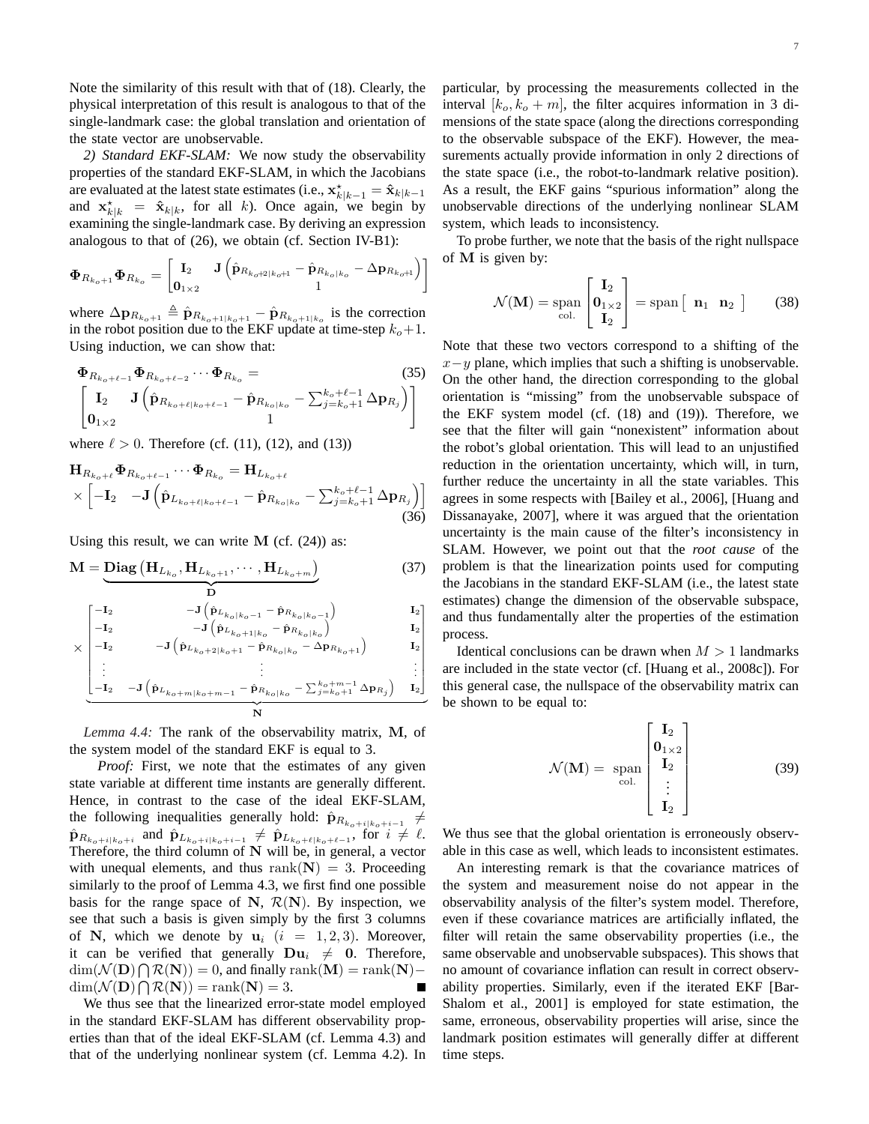Note the similarity of this result with that of (18). Clearly, the physical interpretation of this result is analogous to that of the single-landmark case: the global translation and orientation of the state vector are unobservable.

*2) Standard EKF-SLAM:* We now study the observability properties of the standard EKF-SLAM, in which the Jacobians are evaluated at the latest state estimates (i.e.,  $\mathbf{x}_{k|k-1}^{\star} = \hat{\mathbf{x}}_{k|k-1}$ and  $\mathbf{x}_{k|k}^* = \hat{\mathbf{x}}_{k|k}$ , for all k). Once again, we begin by examining the single-landmark case. By deriving an expression analogous to that of (26), we obtain (cf. Section IV-B1):

$$
\boldsymbol{\Phi}_{R_{k_o+1}} \boldsymbol{\Phi}_{R_{k_o}} = \begin{bmatrix} \mathbf{I}_2 & \mathbf{J} \left( \hat{\mathbf{p}}_{R_{k_o+2|k_o+1}} - \hat{\mathbf{p}}_{R_{k_o|k_o}} - \Delta \mathbf{p}_{R_{k_o+1}} \right) \\ \mathbf{0}_{1 \times 2} & 1 \end{bmatrix}
$$

where  $\Delta p_{R_{k_o+1}} \triangleq \hat{p}_{R_{k_o+1|k_o+1}} - \hat{p}_{R_{k_o+1|k_o}}$  is the correction in the robot position due to the EKF update at time-step  $k_o+1$ . Using induction, we can show that:

$$
\Phi_{R_{k_o+\ell-1}}\Phi_{R_{k_o+\ell-2}}\cdots\Phi_{R_{k_o}} =\n\begin{bmatrix}\n\mathbf{I}_2 & \mathbf{J}(\hat{\mathbf{p}}_{R_{k_o+\ell|k_o+\ell-1}} - \hat{\mathbf{p}}_{R_{k_o|k_o}} - \sum_{j=k_o+1}^{k_o+\ell-1} \Delta \mathbf{p}_{R_j})\n\mathbf{0}_{1\times 2} & 1\n\end{bmatrix}
$$
\n(35)

where  $\ell > 0$ . Therefore (cf. (11), (12), and (13))

H<sup>R</sup>ko+`Φ<sup>R</sup>ko+`−<sup>1</sup> · · · Φ<sup>R</sup>ko = H<sup>L</sup>ko+` × h −I<sup>2</sup> −J ³ pˆ<sup>L</sup>ko+`|ko+`−<sup>1</sup> − pˆ<sup>R</sup>ko|ko − P<sup>k</sup>o+`−<sup>1</sup> <sup>j</sup>=ko+1 ∆p<sup>R</sup><sup>j</sup> ´i (36)

Using this result, we can write  $M$  (cf.  $(24)$ ) as:

$$
\mathbf{M} = \underbrace{\mathbf{Diag}(\mathbf{H}_{L_{k_o}}, \mathbf{H}_{L_{k_o+1}}, \cdots, \mathbf{H}_{L_{k_o+m}})}_{\sim}
$$
 (37)

$$
\begin{bmatrix}\n-\mathbf{I}_2 & -\mathbf{J} \left( \hat{\mathbf{p}}_{L_{k_o|k_o-1}} - \hat{\mathbf{p}}_{R_{k_o|k_o-1}} \right) & \mathbf{I}_2 \\
-\mathbf{I}_2 & -\mathbf{J} \left( \hat{\mathbf{p}}_{L_{k_o+1|k_o}} - \hat{\mathbf{p}}_{R_{k_o|k_o}} \right) & \mathbf{I}_2\n\end{bmatrix}
$$

$$
\times \begin{vmatrix}\n-I_2 & -J\left(\hat{\mathbf{p}}_{L_{k_o+1|k_o}} - \hat{\mathbf{p}}_{R_{k_o|k_o}}\right) & I_2 \\
-I_2 & -J\left(\hat{\mathbf{p}}_{L_{k_o+2|k_o+1}} - \hat{\mathbf{p}}_{R_{k_o|k_o}} - \Delta \mathbf{p}_{R_{k_o+1}}\right) & I_2\n\end{vmatrix}
$$

$$
\begin{bmatrix}\n\vdots & \vdots & \vdots & \vdots \\
-\mathbf{I}_{2} & -\mathbf{J} \left( \hat{\mathbf{p}}_{L_{k_{o}+m|k_{o}+m-1}} - \hat{\mathbf{p}}_{R_{k_{o}|k_{o}}} - \sum_{j=k_{o}+1}^{k_{o}+m-1} \Delta \mathbf{p}_{R_{j}} \right) & \mathbf{I}_{2}\n\end{bmatrix}
$$

*Lemma 4.4:* The rank of the observability matrix, M, of the system model of the standard EKF is equal to 3.

*Proof:* First, we note that the estimates of any given state variable at different time instants are generally different. Hence, in contrast to the case of the ideal EKF-SLAM, the following inequalities generally hold:  $\hat{\mathbf{p}}_{R_{k_o+i|k_o+i-1}} \neq$  $\hat{\mathbf{p}}_{R_{k_o+i|k_o+i}}$  and  $\hat{\mathbf{p}}_{L_{k_o+i|k_o+i-1}} \neq \hat{\mathbf{p}}_{L_{k_o+\ell|k_o+\ell-1}},$  for  $i \neq \ell$ . Therefore, the third column of  $N$  will be, in general, a vector with unequal elements, and thus rank( $N$ ) = 3. Proceeding similarly to the proof of Lemma 4.3, we first find one possible basis for the range space of N,  $\mathcal{R}(N)$ . By inspection, we see that such a basis is given simply by the first 3 columns of N, which we denote by  $\mathbf{u}_i$  ( $i = 1, 2, 3$ ). Moreover, it can be verified that generally  $\mathbf{D}\mathbf{u}_i \neq \mathbf{0}$ . Therefore,  $\dim(\mathcal{N}(\mathbf{D}) \cap \mathcal{R}(\mathbf{N})) = 0$ , and finally rank $(\mathbf{M}) = \text{rank}(\mathbf{N}) \dim(\mathcal{N}(\mathbf{D})\bigcap \mathcal{R}(\mathbf{N})) = \text{rank}(\mathbf{N}) = 3.$  $\blacksquare$ 

We thus see that the linearized error-state model employed in the standard EKF-SLAM has different observability properties than that of the ideal EKF-SLAM (cf. Lemma 4.3) and that of the underlying nonlinear system (cf. Lemma 4.2). In particular, by processing the measurements collected in the interval  $[k_o, k_o + m]$ , the filter acquires information in 3 dimensions of the state space (along the directions corresponding to the observable subspace of the EKF). However, the measurements actually provide information in only 2 directions of the state space (i.e., the robot-to-landmark relative position).

As a result, the EKF gains "spurious information" along the unobservable directions of the underlying nonlinear SLAM system, which leads to inconsistency.

To probe further, we note that the basis of the right nullspace of M is given by:

$$
\mathcal{N}(\mathbf{M}) = \text{span}_{\text{col.}} \begin{bmatrix} \mathbf{I}_2 \\ \mathbf{0}_{1 \times 2} \\ \mathbf{I}_2 \end{bmatrix} = \text{span} \begin{bmatrix} \mathbf{n}_1 & \mathbf{n}_2 \end{bmatrix}
$$
 (38)

Note that these two vectors correspond to a shifting of the  $x-y$  plane, which implies that such a shifting is unobservable. On the other hand, the direction corresponding to the global orientation is "missing" from the unobservable subspace of the EKF system model (cf. (18) and (19)). Therefore, we see that the filter will gain "nonexistent" information about the robot's global orientation. This will lead to an unjustified reduction in the orientation uncertainty, which will, in turn, further reduce the uncertainty in all the state variables. This agrees in some respects with [Bailey et al., 2006], [Huang and Dissanayake, 2007], where it was argued that the orientation uncertainty is the main cause of the filter's inconsistency in SLAM. However, we point out that the *root cause* of the problem is that the linearization points used for computing the Jacobians in the standard EKF-SLAM (i.e., the latest state estimates) change the dimension of the observable subspace, and thus fundamentally alter the properties of the estimation process.

Identical conclusions can be drawn when  $M > 1$  landmarks are included in the state vector (cf. [Huang et al., 2008c]). For this general case, the nullspace of the observability matrix can be shown to be equal to:

$$
\mathcal{N}(\mathbf{M}) = \operatorname{span}_{\text{col.}} \begin{bmatrix} \mathbf{I}_2 \\ \mathbf{0}_{1 \times 2} \\ \mathbf{I}_2 \\ \vdots \\ \mathbf{I}_2 \end{bmatrix}
$$
(39)

We thus see that the global orientation is erroneously observable in this case as well, which leads to inconsistent estimates.

An interesting remark is that the covariance matrices of the system and measurement noise do not appear in the observability analysis of the filter's system model. Therefore, even if these covariance matrices are artificially inflated, the filter will retain the same observability properties (i.e., the same observable and unobservable subspaces). This shows that no amount of covariance inflation can result in correct observability properties. Similarly, even if the iterated EKF [Bar-Shalom et al., 2001] is employed for state estimation, the same, erroneous, observability properties will arise, since the landmark position estimates will generally differ at different time steps.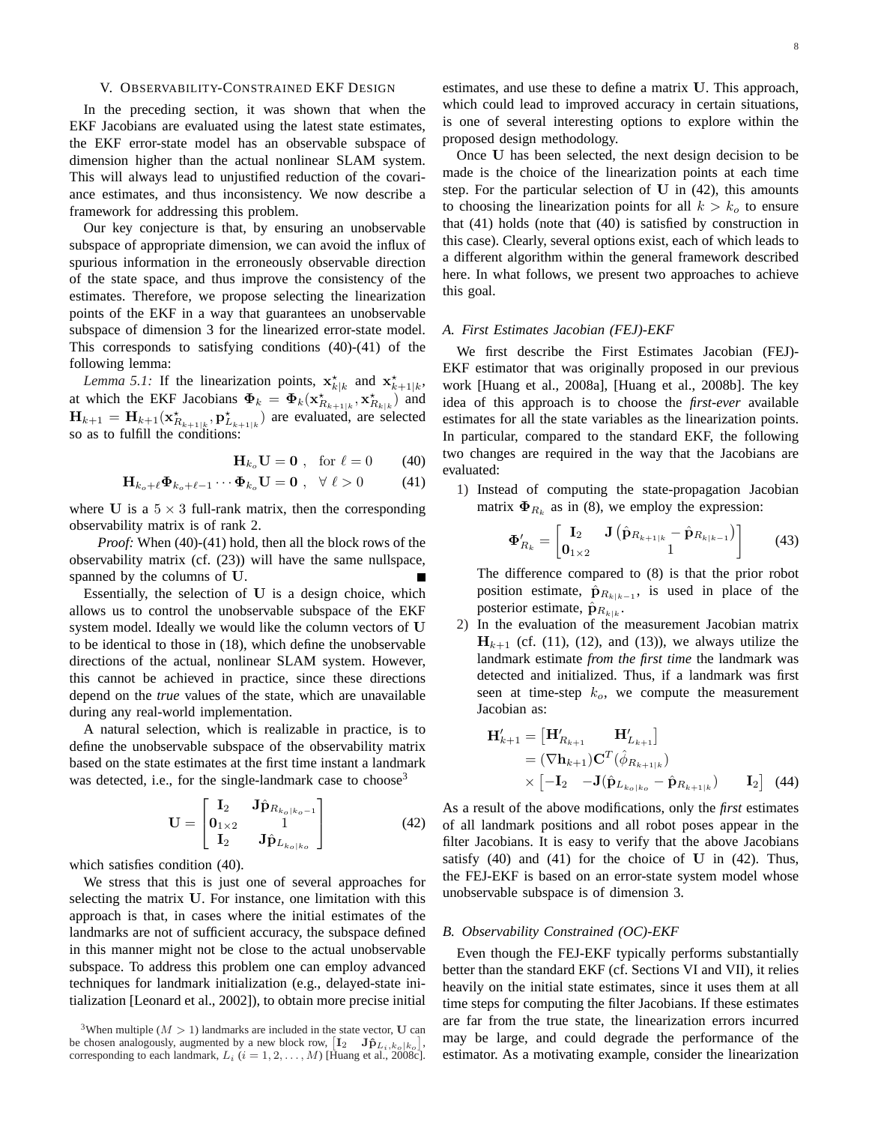#### V. OBSERVABILITY-CONSTRAINED EKF DESIGN

In the preceding section, it was shown that when the EKF Jacobians are evaluated using the latest state estimates, the EKF error-state model has an observable subspace of dimension higher than the actual nonlinear SLAM system. This will always lead to unjustified reduction of the covariance estimates, and thus inconsistency. We now describe a framework for addressing this problem.

Our key conjecture is that, by ensuring an unobservable subspace of appropriate dimension, we can avoid the influx of spurious information in the erroneously observable direction of the state space, and thus improve the consistency of the estimates. Therefore, we propose selecting the linearization points of the EKF in a way that guarantees an unobservable subspace of dimension 3 for the linearized error-state model. This corresponds to satisfying conditions (40)-(41) of the following lemma:

*Lemma 5.1:* If the linearization points,  $\mathbf{x}_{k|k}^*$  and  $\mathbf{x}_{k+1|k}^*$ , at which the EKF Jacobians  $\Phi_k = \Phi_k(\mathbf{x}_{R_{k+1|k}}^{\star}, \mathbf{x}_{R_{k|k}}^{\star})$  and  $H_{k+1} = H_{k+1}(\mathbf{x}_{R_{k+1|k}}^{\star}, \mathbf{p}_{L_{k+1|k}}^{\star})$  are evaluated, are selected so as to fulfill the conditions:

$$
\mathbf{H}_{k_o}\mathbf{U} = \mathbf{0} \; , \; \text{ for } \ell = 0 \qquad (40)
$$

$$
\mathbf{H}_{k_o+\ell}\mathbf{\Phi}_{k_o+\ell-1}\cdots\mathbf{\Phi}_{k_o}\mathbf{U}=\mathbf{0}\;,\quad \forall\;\ell>0\qquad \quad (41)
$$

where U is a  $5 \times 3$  full-rank matrix, then the corresponding observability matrix is of rank 2.

*Proof:* When (40)-(41) hold, then all the block rows of the observability matrix (cf. (23)) will have the same nullspace, spanned by the columns of U.

Essentially, the selection of U is a design choice, which allows us to control the unobservable subspace of the EKF system model. Ideally we would like the column vectors of U to be identical to those in (18), which define the unobservable directions of the actual, nonlinear SLAM system. However, this cannot be achieved in practice, since these directions depend on the *true* values of the state, which are unavailable during any real-world implementation.

A natural selection, which is realizable in practice, is to define the unobservable subspace of the observability matrix based on the state estimates at the first time instant a landmark was detected, i.e., for the single-landmark case to choose<sup>3</sup>

$$
\mathbf{U} = \begin{bmatrix} \mathbf{I}_2 & \mathbf{J} \hat{\mathbf{p}}_{R_{k_o|k_o-1}} \\ \mathbf{0}_{1 \times 2} & 1 \\ \mathbf{I}_2 & \mathbf{J} \hat{\mathbf{p}}_{L_{k_o|k_o}} \end{bmatrix}
$$
(42)

which satisfies condition (40).

We stress that this is just one of several approaches for selecting the matrix U. For instance, one limitation with this approach is that, in cases where the initial estimates of the landmarks are not of sufficient accuracy, the subspace defined in this manner might not be close to the actual unobservable subspace. To address this problem one can employ advanced techniques for landmark initialization (e.g., delayed-state initialization [Leonard et al., 2002]), to obtain more precise initial

estimates, and use these to define a matrix U. This approach, which could lead to improved accuracy in certain situations, is one of several interesting options to explore within the proposed design methodology.

Once U has been selected, the next design decision to be made is the choice of the linearization points at each time step. For the particular selection of  $U$  in (42), this amounts to choosing the linearization points for all  $k > k<sub>o</sub>$  to ensure that (41) holds (note that (40) is satisfied by construction in this case). Clearly, several options exist, each of which leads to a different algorithm within the general framework described here. In what follows, we present two approaches to achieve this goal.

## *A. First Estimates Jacobian (FEJ)-EKF*

We first describe the First Estimates Jacobian (FEJ)- EKF estimator that was originally proposed in our previous work [Huang et al., 2008a], [Huang et al., 2008b]. The key idea of this approach is to choose the *first-ever* available estimates for all the state variables as the linearization points. In particular, compared to the standard EKF, the following two changes are required in the way that the Jacobians are evaluated:

1) Instead of computing the state-propagation Jacobian matrix  $\mathbf{\Phi}_{R_k}$  as in (8), we employ the expression:

$$
\boldsymbol{\Phi}_{R_k}^{\prime} = \begin{bmatrix} \mathbf{I}_2 & \mathbf{J} \left( \hat{\mathbf{p}}_{R_{k+1|k}} - \hat{\mathbf{p}}_{R_{k|k-1}} \right) \\ \mathbf{0}_{1 \times 2} & 1 \end{bmatrix}
$$
(43)

The difference compared to (8) is that the prior robot position estimate,  $\hat{\mathbf{p}}_{R_{k|k-1}}$ , is used in place of the posterior estimate,  $\hat{\mathbf{p}}_{R_{k|k}}$ .

2) In the evaluation of the measurement Jacobian matrix  $H_{k+1}$  (cf. (11), (12), and (13)), we always utilize the landmark estimate *from the first time* the landmark was detected and initialized. Thus, if a landmark was first seen at time-step  $k_o$ , we compute the measurement Jacobian as:

$$
\mathbf{H}_{k+1}^{\prime} = \begin{bmatrix} \mathbf{H}_{R_{k+1}}^{\prime} & \mathbf{H}_{L_{k+1}}^{\prime} \end{bmatrix} \n= (\nabla \mathbf{h}_{k+1}) \mathbf{C}^{T} (\hat{\phi}_{R_{k+1|k}}) \n\times \begin{bmatrix} -\mathbf{I}_{2} & -\mathbf{J} (\hat{\mathbf{p}}_{L_{k_{o}|k_{o}}} - \hat{\mathbf{p}}_{R_{k+1|k}}) & \mathbf{I}_{2} \end{bmatrix}
$$
\n(44)

As a result of the above modifications, only the *first* estimates of all landmark positions and all robot poses appear in the filter Jacobians. It is easy to verify that the above Jacobians satisfy  $(40)$  and  $(41)$  for the choice of U in  $(42)$ . Thus, the FEJ-EKF is based on an error-state system model whose unobservable subspace is of dimension 3.

#### *B. Observability Constrained (OC)-EKF*

Even though the FEJ-EKF typically performs substantially better than the standard EKF (cf. Sections VI and VII), it relies heavily on the initial state estimates, since it uses them at all time steps for computing the filter Jacobians. If these estimates are far from the true state, the linearization errors incurred may be large, and could degrade the performance of the estimator. As a motivating example, consider the linearization

<sup>&</sup>lt;sup>3</sup>When multiple ( $M > 1$ ) landmarks are included in the state vector, **U** can When multiple ( $M > 1$ ) landmarks are included in the state vector, U c.<br>be chosen analogously, augmented by a new block row,  $\begin{bmatrix} I_2 & \mathbf{J} \hat{\mathbf{p}}_{L_i,k_o|k_o} \end{bmatrix}$ , corresponding to each landmark,  $L_i$   $(i = 1, 2, ..., M)$  [Huang et al., 2008c].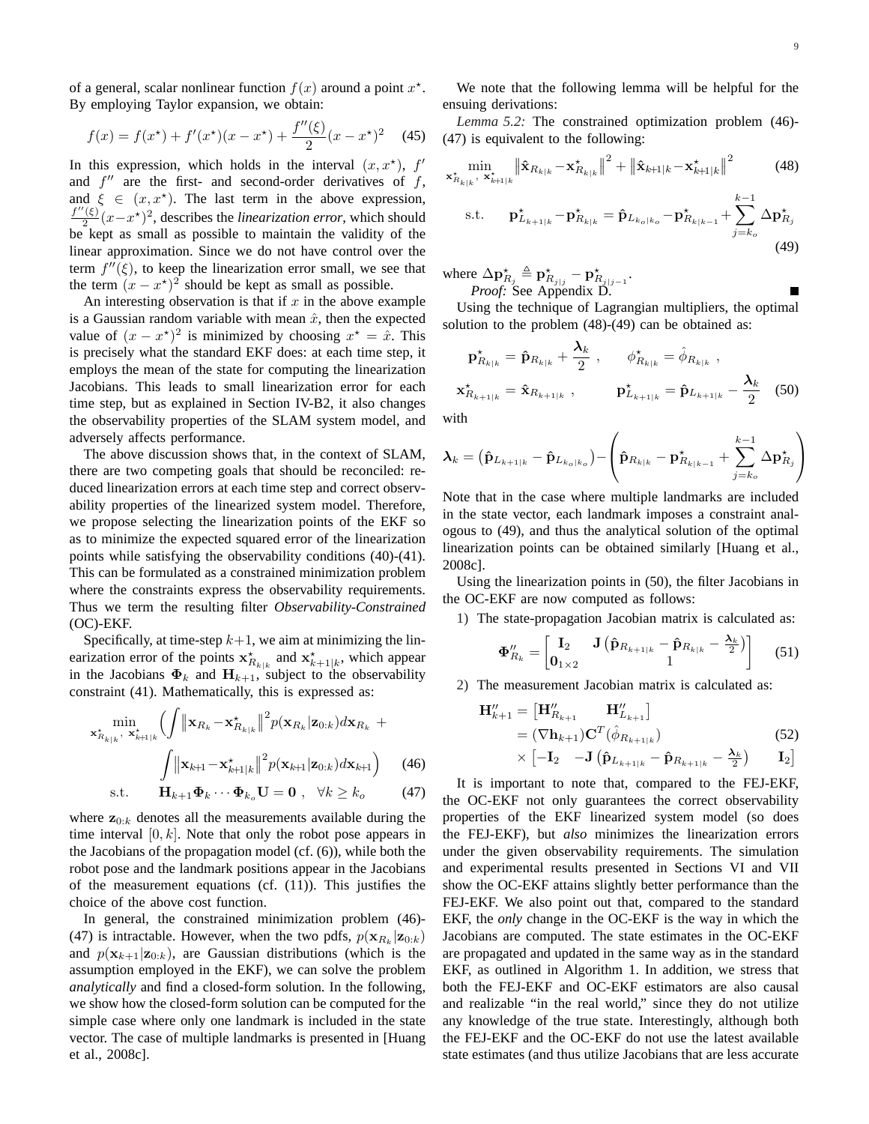of a general, scalar nonlinear function  $f(x)$  around a point  $x^*$ . By employing Taylor expansion, we obtain:

$$
f(x) = f(x^*) + f'(x^*)(x - x^*) + \frac{f''(\xi)}{2}(x - x^*)^2
$$
 (45)

In this expression, which holds in the interval  $(x, x^*)$ ,  $f'$ and  $f''$  are the first- and second-order derivatives of  $f$ , and  $\xi \in (x, x^*)$ . The last term in the above expression,  $f''(\xi)$  $\frac{1}{2}(x-x^*)^2$ , describes the *linearization error*, which should be kept as small as possible to maintain the validity of the linear approximation. Since we do not have control over the term  $f''(\xi)$ , to keep the linearization error small, we see that the term  $(x - x^*)^2$  should be kept as small as possible.

An interesting observation is that if  $x$  in the above example is a Gaussian random variable with mean  $\hat{x}$ , then the expected value of  $(x - x^*)^2$  is minimized by choosing  $x^* = \hat{x}$ . This is precisely what the standard EKF does: at each time step, it employs the mean of the state for computing the linearization Jacobians. This leads to small linearization error for each time step, but as explained in Section IV-B2, it also changes the observability properties of the SLAM system model, and adversely affects performance.

The above discussion shows that, in the context of SLAM, there are two competing goals that should be reconciled: reduced linearization errors at each time step and correct observability properties of the linearized system model. Therefore, we propose selecting the linearization points of the EKF so as to minimize the expected squared error of the linearization points while satisfying the observability conditions (40)-(41). This can be formulated as a constrained minimization problem where the constraints express the observability requirements. Thus we term the resulting filter *Observability-Constrained* (OC)-EKF.

Specifically, at time-step  $k+1$ , we aim at minimizing the linearization error of the points  $x_{R_{k|k}}^{\star}$  and  $x_{k+1|k}^{\star}$ , which appear in the Jacobians  $\Phi_k$  and  $H_{k+1}$ , subject to the observability constraint (41). Mathematically, this is expressed as:

$$
\min_{\substack{\star_{R_{k|k}}^{\star}, \ \mathbf{x}_{k+1|k}^{\star}}} \left( \int \left\| \mathbf{x}_{R_{k}} - \mathbf{x}_{R_{k|k}}^{\star} \right\|^{2} p(\mathbf{x}_{R_{k}} | \mathbf{z}_{0:k}) d \mathbf{x}_{R_{k}} + \right. \\ \left. \int \left\| \mathbf{x}_{k+1} - \mathbf{x}_{k+1|k}^{\star} \right\|^{2} p(\mathbf{x}_{k+1} | \mathbf{z}_{0:k}) d \mathbf{x}_{k+1} \right) \tag{46}
$$

x

$$
\text{s.t.} \qquad \mathbf{H}_{k+1}\mathbf{\Phi}_k\cdots\mathbf{\Phi}_{k_o}\mathbf{U} = \mathbf{0} \; , \; \; \forall k \ge k_o \tag{47}
$$

where  $z_{0:k}$  denotes all the measurements available during the time interval  $[0, k]$ . Note that only the robot pose appears in the Jacobians of the propagation model (cf. (6)), while both the robot pose and the landmark positions appear in the Jacobians of the measurement equations (cf. (11)). This justifies the choice of the above cost function.

In general, the constrained minimization problem (46)- (47) is intractable. However, when the two pdfs,  $p(\mathbf{x}_{R_k}|\mathbf{z}_{0:k})$ and  $p(\mathbf{x}_{k+1}|\mathbf{z}_{0:k})$ , are Gaussian distributions (which is the assumption employed in the EKF), we can solve the problem *analytically* and find a closed-form solution. In the following, we show how the closed-form solution can be computed for the simple case where only one landmark is included in the state vector. The case of multiple landmarks is presented in [Huang et al., 2008c].

We note that the following lemma will be helpful for the ensuing derivations:

*Lemma 5.2:* The constrained optimization problem (46)- (47) is equivalent to the following:

$$
\min_{\mathbf{x}_{R_{k|k}}^{\star}, \mathbf{x}_{k+1|k}^{\star}} \left\| \hat{\mathbf{x}}_{R_{k|k}} - \mathbf{x}_{R_{k|k}}^{\star} \right\|^2 + \left\| \hat{\mathbf{x}}_{k+1|k} - \mathbf{x}_{k+1|k}^{\star} \right\|^2 \quad (48)
$$
\n
$$
\text{s.t.} \quad \mathbf{p}_{L_{k+1|k}}^{\star} - \mathbf{p}_{R_{k|k}}^{\star} = \hat{\mathbf{p}}_{L_{k_o|k_o}} - \mathbf{p}_{R_{k|k-1}}^{\star} + \sum_{j=k_o}^{k-1} \Delta \mathbf{p}_{R_j}^{\star} \quad (49)
$$

where  $\Delta \mathbf{p}_{R_j}^{\star} \triangleq \mathbf{p}_{R_{j|j}}^{\star} - \mathbf{p}_{R_{j|j-1}}^{\star}$ . *Proof:* See Appendix D.

Using the technique of Lagrangian multipliers, the optimal solution to the problem (48)-(49) can be obtained as:

$$
\mathbf{p}_{R_{k|k}}^{\star} = \hat{\mathbf{p}}_{R_{k|k}} + \frac{\lambda_k}{2} , \qquad \phi_{R_{k|k}}^{\star} = \hat{\phi}_{R_{k|k}} ,
$$
\n
$$
\mathbf{x}_{R_{k+1|k}}^{\star} = \hat{\mathbf{x}}_{R_{k+1|k}} , \qquad \mathbf{p}_{L_{k+1|k}}^{\star} = \hat{\mathbf{p}}_{L_{k+1|k}} - \frac{\lambda_k}{2} \quad (50)
$$

with

$$
\boldsymbol{\lambda}_k = \left(\mathbf{\hat{p}}_{L_{k+1|k}} - \mathbf{\hat{p}}_{L_{k_o|k_o}}\right) - \left(\mathbf{\hat{p}}_{R_{k|k}} - \mathbf{p}^{\star}_{R_{k|k-1}} + \sum_{j=k_o}^{k-1} \Delta \mathbf{p}^{\star}_{R_j}\right)
$$

Note that in the case where multiple landmarks are included in the state vector, each landmark imposes a constraint analogous to (49), and thus the analytical solution of the optimal linearization points can be obtained similarly [Huang et al., 2008c].

Using the linearization points in (50), the filter Jacobians in the OC-EKF are now computed as follows:

1) The state-propagation Jacobian matrix is calculated as:

$$
\Phi_{R_k}^{\prime\prime} = \begin{bmatrix} \mathbf{I}_2 & \mathbf{J} \left( \hat{\mathbf{p}}_{R_{k+1|k}} - \hat{\mathbf{p}}_{R_{k|k}} - \frac{\mathbf{\lambda}_k}{2} \right) \\ \mathbf{0}_{1 \times 2} & 1 \end{bmatrix}
$$
(51)

2) The measurement Jacobian matrix is calculated as:

$$
\mathbf{H}_{k+1}'' = \begin{bmatrix} \mathbf{H}_{R_{k+1}}'' & \mathbf{H}_{L_{k+1}}'' \end{bmatrix}
$$
  
= (\nabla \mathbf{h}\_{k+1}) \mathbf{C}^T (\hat{\phi}\_{R\_{k+1|k}}) \t\t(52)  

$$
\sqrt{\begin{bmatrix} -\mathbf{I}_{k+1} & -\mathbf{I} \ (\hat{\mathbf{r}}_{k+1} & -\hat{\mathbf{r}}_{k+1} & -\hat{\mathbf{r}}_{k+1} \end{bmatrix}}
$$

$$
\times \begin{bmatrix} -\mathbf{I}_2 & -\mathbf{J} \left( \hat{\mathbf{p}}_{L_{k+1|k}} - \hat{\mathbf{p}}_{R_{k+1|k}} - \frac{\mathbf{A}_k}{2} \right) & \mathbf{I}_2 \end{bmatrix}
$$

It is important to note that, compared to the FEJ-EKF, the OC-EKF not only guarantees the correct observability properties of the EKF linearized system model (so does the FEJ-EKF), but *also* minimizes the linearization errors under the given observability requirements. The simulation and experimental results presented in Sections VI and VII show the OC-EKF attains slightly better performance than the FEJ-EKF. We also point out that, compared to the standard EKF, the *only* change in the OC-EKF is the way in which the Jacobians are computed. The state estimates in the OC-EKF are propagated and updated in the same way as in the standard EKF, as outlined in Algorithm 1. In addition, we stress that both the FEJ-EKF and OC-EKF estimators are also causal and realizable "in the real world," since they do not utilize any knowledge of the true state. Interestingly, although both the FEJ-EKF and the OC-EKF do not use the latest available state estimates (and thus utilize Jacobians that are less accurate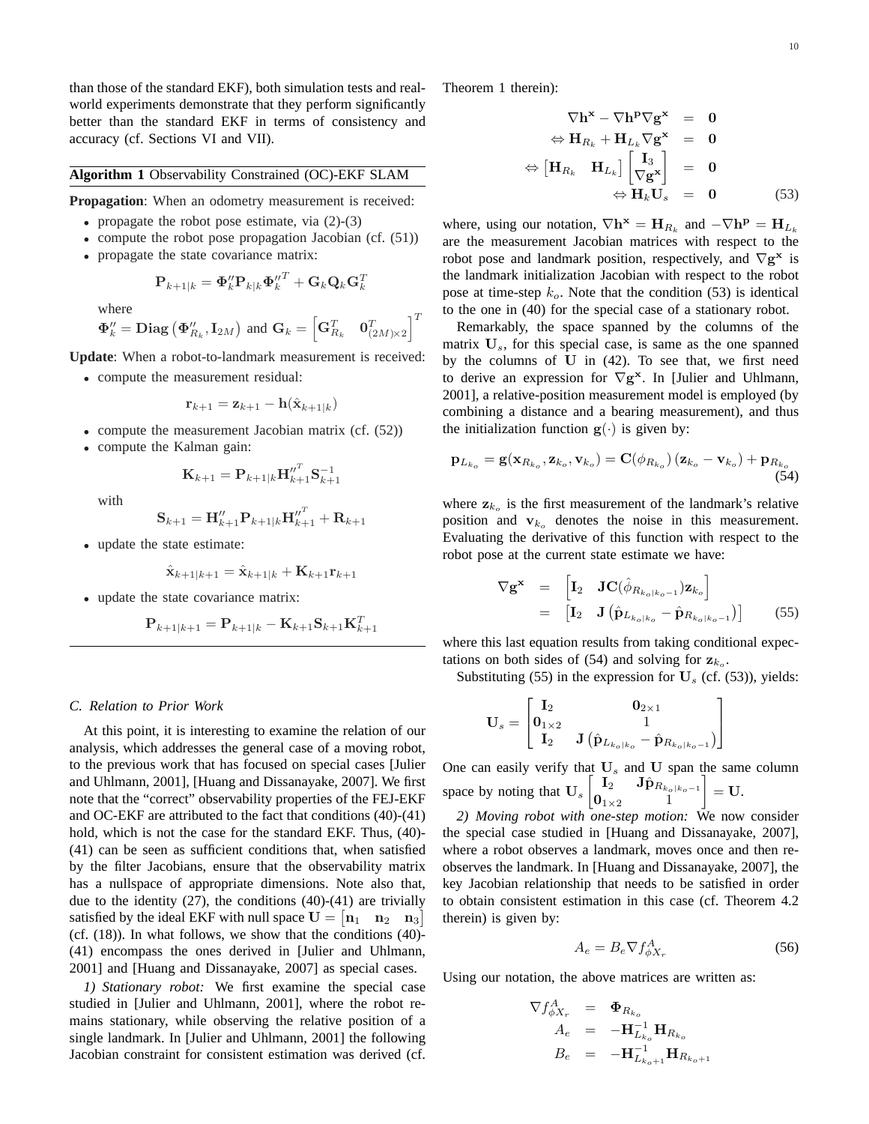than those of the standard EKF), both simulation tests and realworld experiments demonstrate that they perform significantly better than the standard EKF in terms of consistency and accuracy (cf. Sections VI and VII).

#### **Algorithm 1** Observability Constrained (OC)-EKF SLAM

**Propagation**: When an odometry measurement is received:

- propagate the robot pose estimate, via  $(2)-(3)$
- compute the robot pose propagation Jacobian (cf.  $(51)$ )
- propagate the state covariance matrix:

$$
\mathbf{P}_{k+1|k} = \boldsymbol{\Phi}_k^{\prime\prime} \mathbf{P}_{k|k} {\boldsymbol{\Phi}_k^{\prime\prime}}^T + \mathbf{G}_k \mathbf{Q}_k \mathbf{G}_k^T
$$

where

where  
\n
$$
\mathbf{\Phi}_k^{\prime\prime} = \mathbf{Diag} \left( \mathbf{\Phi}_{R_k}^{\prime\prime}, \mathbf{I}_{2M} \right)
$$
 and  $\mathbf{G}_k = \begin{bmatrix} \mathbf{G}_{R_k}^T & \mathbf{0}_{(2M)\times 2}^T \end{bmatrix}^T$ 

**Update**: When a robot-to-landmark measurement is received:

• compute the measurement residual:

$$
\mathbf{r}_{k+1} = \mathbf{z}_{k+1} - \mathbf{h}(\hat{\mathbf{x}}_{k+1|k})
$$

- compute the measurement Jacobian matrix (cf.  $(52)$ )
- compute the Kalman gain:

$$
\mathbf{K}_{k+1} = \mathbf{P}_{k+1|k}{\mathbf{H}''_{k+1}^\mathsf{T} \mathbf{S}_{k+1}^{-1}}
$$

with

$$
\mathbf{S}_{k+1} = \mathbf{H}_{k+1}'' \mathbf{P}_{k+1|k} {\mathbf{H}_{k+1}''}^T + \mathbf{R}_{k+1}
$$

• update the state estimate:

$$
\hat{\mathbf{x}}_{k+1|k+1} = \hat{\mathbf{x}}_{k+1|k} + \mathbf{K}_{k+1}\mathbf{r}_{k+1}
$$

• update the state covariance matrix:

$$
\mathbf{P}_{k+1|k+1} = \mathbf{P}_{k+1|k} - \mathbf{K}_{k+1}\mathbf{S}_{k+1}\mathbf{K}_{k+1}^T
$$

#### *C. Relation to Prior Work*

At this point, it is interesting to examine the relation of our analysis, which addresses the general case of a moving robot, to the previous work that has focused on special cases [Julier and Uhlmann, 2001], [Huang and Dissanayake, 2007]. We first note that the "correct" observability properties of the FEJ-EKF and OC-EKF are attributed to the fact that conditions (40)-(41) hold, which is not the case for the standard EKF. Thus,  $(40)$ -(41) can be seen as sufficient conditions that, when satisfied by the filter Jacobians, ensure that the observability matrix has a nullspace of appropriate dimensions. Note also that, due to the identity  $(27)$ , the conditions  $(40)-(41)$  are trivially satisfied by the ideal EKF with null space  $U = \begin{vmatrix} n_1 & n_2 & n_3 \end{vmatrix}$  $(cf. (18))$ . In what follows, we show that the conditions  $(40)$ -(41) encompass the ones derived in [Julier and Uhlmann, 2001] and [Huang and Dissanayake, 2007] as special cases.

*1) Stationary robot:* We first examine the special case studied in [Julier and Uhlmann, 2001], where the robot remains stationary, while observing the relative position of a single landmark. In [Julier and Uhlmann, 2001] the following Jacobian constraint for consistent estimation was derived (cf. Theorem 1 therein):

$$
\nabla \mathbf{h}^{\mathbf{x}} - \nabla \mathbf{h}^{\mathbf{p}} \nabla \mathbf{g}^{\mathbf{x}} = \mathbf{0}
$$
  
\n
$$
\Leftrightarrow \mathbf{H}_{R_k} + \mathbf{H}_{L_k} \nabla \mathbf{g}^{\mathbf{x}} = \mathbf{0}
$$
  
\n
$$
\Leftrightarrow \begin{bmatrix} \mathbf{H}_{R_k} & \mathbf{H}_{L_k} \end{bmatrix} \begin{bmatrix} \mathbf{I}_3 \\ \nabla \mathbf{g}^{\mathbf{x}} \end{bmatrix} = \mathbf{0}
$$
  
\n
$$
\Leftrightarrow \mathbf{H}_k \mathbf{U}_s = \mathbf{0}
$$
 (53)

where, using our notation,  $\nabla \mathbf{h}^{\mathbf{x}} = \mathbf{H}_{R_k}$  and  $-\nabla \mathbf{h}^{\mathbf{p}} = \mathbf{H}_{L_k}$ are the measurement Jacobian matrices with respect to the robot pose and landmark position, respectively, and  $\nabla g^x$  is the landmark initialization Jacobian with respect to the robot pose at time-step  $k<sub>o</sub>$ . Note that the condition (53) is identical to the one in (40) for the special case of a stationary robot.

Remarkably, the space spanned by the columns of the matrix  $U_s$ , for this special case, is same as the one spanned by the columns of U in (42). To see that, we first need to derive an expression for  $\nabla g^x$ . In [Julier and Uhlmann, 2001], a relative-position measurement model is employed (by combining a distance and a bearing measurement), and thus the initialization function  $g(.)$  is given by:

$$
\mathbf{p}_{L_{k_o}} = \mathbf{g}(\mathbf{x}_{R_{k_o}}, \mathbf{z}_{k_o}, \mathbf{v}_{k_o}) = \mathbf{C}(\phi_{R_{k_o}}) (\mathbf{z}_{k_o} - \mathbf{v}_{k_o}) + \mathbf{p}_{R_{k_o}}
$$
(54)

where  $z_{k_o}$  is the first measurement of the landmark's relative position and  $v_{k_o}$  denotes the noise in this measurement. Evaluating the derivative of this function with respect to the robot pose at the current state estimate we have:

$$
\nabla \mathbf{g}^{\mathbf{x}} = \begin{bmatrix} \mathbf{I}_2 & \mathbf{J} \mathbf{C} (\hat{\phi}_{R_{k_o|k_o-1}}) \mathbf{z}_{k_o} \end{bmatrix}
$$
  
= 
$$
\begin{bmatrix} \mathbf{I}_2 & \mathbf{J} (\hat{\mathbf{p}}_{L_{k_o|k_o}} - \hat{\mathbf{p}}_{R_{k_o|k_o-1}}) \end{bmatrix}
$$
 (55)

where this last equation results from taking conditional expectations on both sides of (54) and solving for  $z_{k_o}$ .

Substituting (55) in the expression for  $U_s$  (cf. (53)), yields:

$$
\mathbf{U}_s = \begin{bmatrix} \mathbf{I}_2 & \mathbf{0}_{2 \times 1} \\ \mathbf{0}_{1 \times 2} & 1 \\ \mathbf{I}_2 & \mathbf{J} \left( \hat{\mathbf{p}}_{L_{k_o|k_o}} - \hat{\mathbf{p}}_{R_{k_o|k_o-1}} \right) \end{bmatrix}
$$

One can easily verify that  $U_s$  and U span the same column space by noting that  $\mathbf{U}_s$ at  $\mathbf{U}_s$  and  $\mathbf{U}$  span if  $\begin{bmatrix} \mathbf{I}_2 & \mathbf{J} \hat{\mathbf{p}}_{R_{k_o|k_o-1}} \end{bmatrix}$  $\mathbf{0}_{1\times2}$  1 ¸  $=$  U.

*2) Moving robot with one-step motion:* We now consider the special case studied in [Huang and Dissanayake, 2007], where a robot observes a landmark, moves once and then reobserves the landmark. In [Huang and Dissanayake, 2007], the key Jacobian relationship that needs to be satisfied in order to obtain consistent estimation in this case (cf. Theorem 4.2 therein) is given by:

$$
A_e = B_e \nabla f_{\phi X_r}^A \tag{56}
$$

Using our notation, the above matrices are written as:

$$
\nabla f_{\phi X_r}^A = \Phi_{R_{k_o}} \nA_e = -\mathbf{H}_{L_{k_o}}^{-1} \mathbf{H}_{R_{k_o}} \nB_e = -\mathbf{H}_{L_{k_o+1}}^{-1} \mathbf{H}_{R_{k_o+1}}
$$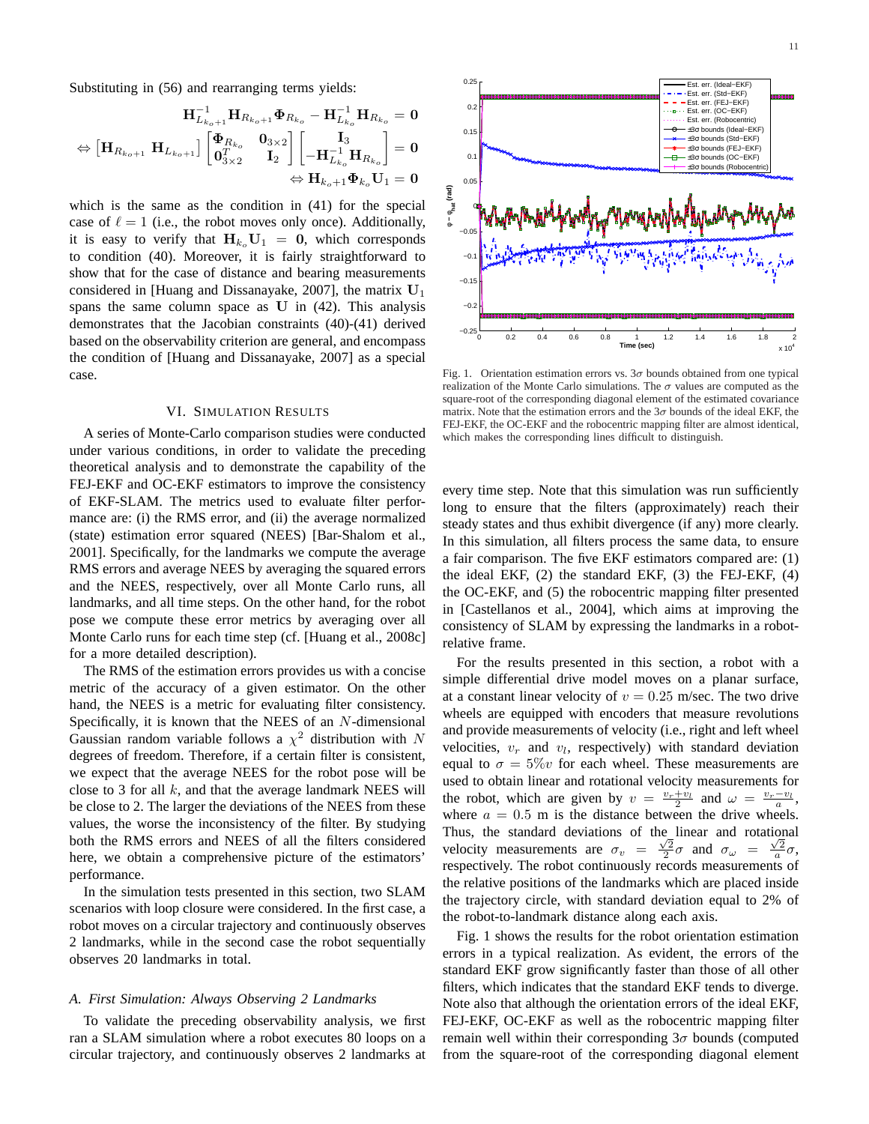Substituting in (56) and rearranging terms yields:

$$
\mathbf{H}_{L_{k_o+1}}^{-1} \mathbf{H}_{R_{k_o+1}} \boldsymbol{\Phi}_{R_{k_o}} - \mathbf{H}_{L_{k_o}}^{-1} \mathbf{H}_{R_{k_o}} = \mathbf{0}
$$
  
\n
$$
\Leftrightarrow \begin{bmatrix} \mathbf{H}_{R_{k_o+1}} & \mathbf{H}_{L_{k_o+1}} \end{bmatrix} \begin{bmatrix} \boldsymbol{\Phi}_{R_{k_o}} & \mathbf{0}_{3\times 2} \\ \mathbf{0}_{3\times 2}^T & \mathbf{I}_2 \end{bmatrix} \begin{bmatrix} \mathbf{I}_3 \\ -\mathbf{H}_{L_{k_o}}^{-1} \mathbf{H}_{R_{k_o}} \end{bmatrix} = \mathbf{0}
$$
  
\n
$$
\Leftrightarrow \mathbf{H}_{k_o+1} \boldsymbol{\Phi}_{k_o} \mathbf{U}_1 = \mathbf{0}
$$

which is the same as the condition in (41) for the special case of  $\ell = 1$  (i.e., the robot moves only once). Additionally, it is easy to verify that  $H_{k_0}U_1 = 0$ , which corresponds to condition (40). Moreover, it is fairly straightforward to show that for the case of distance and bearing measurements considered in [Huang and Dissanayake, 2007], the matrix  $U_1$ spans the same column space as  $U$  in (42). This analysis demonstrates that the Jacobian constraints (40)-(41) derived based on the observability criterion are general, and encompass the condition of [Huang and Dissanayake, 2007] as a special case.

#### VI. SIMULATION RESULTS

A series of Monte-Carlo comparison studies were conducted under various conditions, in order to validate the preceding theoretical analysis and to demonstrate the capability of the FEJ-EKF and OC-EKF estimators to improve the consistency of EKF-SLAM. The metrics used to evaluate filter performance are: (i) the RMS error, and (ii) the average normalized (state) estimation error squared (NEES) [Bar-Shalom et al., 2001]. Specifically, for the landmarks we compute the average RMS errors and average NEES by averaging the squared errors and the NEES, respectively, over all Monte Carlo runs, all landmarks, and all time steps. On the other hand, for the robot pose we compute these error metrics by averaging over all Monte Carlo runs for each time step (cf. [Huang et al., 2008c] for a more detailed description).

The RMS of the estimation errors provides us with a concise metric of the accuracy of a given estimator. On the other hand, the NEES is a metric for evaluating filter consistency. Specifically, it is known that the NEES of an N-dimensional Gaussian random variable follows a  $\chi^2$  distribution with N degrees of freedom. Therefore, if a certain filter is consistent, we expect that the average NEES for the robot pose will be close to 3 for all  $k$ , and that the average landmark NEES will be close to 2. The larger the deviations of the NEES from these values, the worse the inconsistency of the filter. By studying both the RMS errors and NEES of all the filters considered here, we obtain a comprehensive picture of the estimators' performance.

In the simulation tests presented in this section, two SLAM scenarios with loop closure were considered. In the first case, a robot moves on a circular trajectory and continuously observes 2 landmarks, while in the second case the robot sequentially observes 20 landmarks in total.

#### *A. First Simulation: Always Observing 2 Landmarks*

To validate the preceding observability analysis, we first ran a SLAM simulation where a robot executes 80 loops on a circular trajectory, and continuously observes 2 landmarks at



Fig. 1. Orientation estimation errors vs.  $3\sigma$  bounds obtained from one typical realization of the Monte Carlo simulations. The  $\sigma$  values are computed as the square-root of the corresponding diagonal element of the estimated covariance matrix. Note that the estimation errors and the  $3\sigma$  bounds of the ideal EKF, the FEJ-EKF, the OC-EKF and the robocentric mapping filter are almost identical, which makes the corresponding lines difficult to distinguish.

every time step. Note that this simulation was run sufficiently long to ensure that the filters (approximately) reach their steady states and thus exhibit divergence (if any) more clearly. In this simulation, all filters process the same data, to ensure a fair comparison. The five EKF estimators compared are: (1) the ideal EKF, (2) the standard EKF, (3) the FEJ-EKF, (4) the OC-EKF, and (5) the robocentric mapping filter presented in [Castellanos et al., 2004], which aims at improving the consistency of SLAM by expressing the landmarks in a robotrelative frame.

For the results presented in this section, a robot with a simple differential drive model moves on a planar surface, at a constant linear velocity of  $v = 0.25$  m/sec. The two drive wheels are equipped with encoders that measure revolutions and provide measurements of velocity (i.e., right and left wheel velocities,  $v_r$  and  $v_l$ , respectively) with standard deviation equal to  $\sigma = 5\%v$  for each wheel. These measurements are used to obtain linear and rotational velocity measurements for the robot, which are given by  $v = \frac{v_r + v_l}{2}$  and  $\omega = \frac{v_r - v_l}{a}$ , where  $a = 0.5$  m is the distance between the drive wheels. Thus, the standard deviations of the linear and rotational velocity measurements are  $\sigma_v = \frac{\sqrt{2}}{2}\sigma$  and  $\sigma_\omega = \frac{\sqrt{2}}{a}\sigma$ , respectively. The robot continuously records measurements of the relative positions of the landmarks which are placed inside the trajectory circle, with standard deviation equal to 2% of the robot-to-landmark distance along each axis.

Fig. 1 shows the results for the robot orientation estimation errors in a typical realization. As evident, the errors of the standard EKF grow significantly faster than those of all other filters, which indicates that the standard EKF tends to diverge. Note also that although the orientation errors of the ideal EKF, FEJ-EKF, OC-EKF as well as the robocentric mapping filter remain well within their corresponding  $3\sigma$  bounds (computed from the square-root of the corresponding diagonal element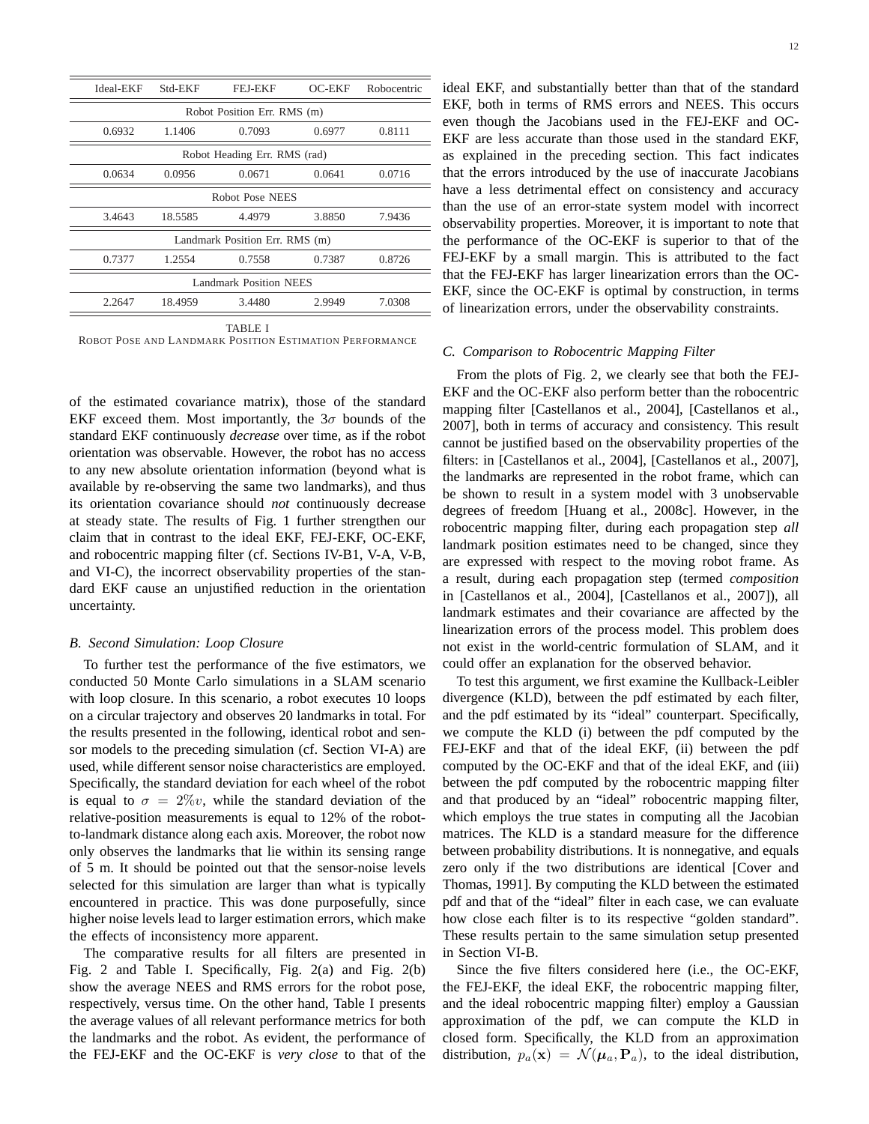| Ideal-EKF                      | Std-EKF | <b>FEJ-EKF</b> | OC-EKF | Robocentric |  |  |
|--------------------------------|---------|----------------|--------|-------------|--|--|
| Robot Position Err. RMS (m)    |         |                |        |             |  |  |
| 0.6932                         | 1.1406  | 0.7093         | 0.6977 | 0.8111      |  |  |
| Robot Heading Err. RMS (rad)   |         |                |        |             |  |  |
| 0.0634                         | 0.0956  | 0.0671         | 0.0641 | 0.0716      |  |  |
| Robot Pose NEES                |         |                |        |             |  |  |
| 3.4643                         | 18.5585 | 4.4979         | 3.8850 | 7.9436      |  |  |
| Landmark Position Err. RMS (m) |         |                |        |             |  |  |
| 0.7377                         | 1.2554  | 0.7558         | 0.7387 | 0.8726      |  |  |
| <b>Landmark Position NEES</b>  |         |                |        |             |  |  |
| 2.2647                         | 18.4959 | 3.4480         | 2.9949 | 7.0308      |  |  |
|                                |         |                |        |             |  |  |

TABLE I

ROBOT POSE AND LANDMARK POSITION ESTIMATION PERFORMANCE

of the estimated covariance matrix), those of the standard EKF exceed them. Most importantly, the  $3\sigma$  bounds of the standard EKF continuously *decrease* over time, as if the robot orientation was observable. However, the robot has no access to any new absolute orientation information (beyond what is available by re-observing the same two landmarks), and thus its orientation covariance should *not* continuously decrease at steady state. The results of Fig. 1 further strengthen our claim that in contrast to the ideal EKF, FEJ-EKF, OC-EKF, and robocentric mapping filter (cf. Sections IV-B1, V-A, V-B, and VI-C), the incorrect observability properties of the standard EKF cause an unjustified reduction in the orientation uncertainty.

#### *B. Second Simulation: Loop Closure*

To further test the performance of the five estimators, we conducted 50 Monte Carlo simulations in a SLAM scenario with loop closure. In this scenario, a robot executes 10 loops on a circular trajectory and observes 20 landmarks in total. For the results presented in the following, identical robot and sensor models to the preceding simulation (cf. Section VI-A) are used, while different sensor noise characteristics are employed. Specifically, the standard deviation for each wheel of the robot is equal to  $\sigma = 2\%v$ , while the standard deviation of the relative-position measurements is equal to 12% of the robotto-landmark distance along each axis. Moreover, the robot now only observes the landmarks that lie within its sensing range of 5 m. It should be pointed out that the sensor-noise levels selected for this simulation are larger than what is typically encountered in practice. This was done purposefully, since higher noise levels lead to larger estimation errors, which make the effects of inconsistency more apparent.

The comparative results for all filters are presented in Fig. 2 and Table I. Specifically, Fig. 2(a) and Fig. 2(b) show the average NEES and RMS errors for the robot pose, respectively, versus time. On the other hand, Table I presents the average values of all relevant performance metrics for both the landmarks and the robot. As evident, the performance of the FEJ-EKF and the OC-EKF is *very close* to that of the

ideal EKF, and substantially better than that of the standard EKF, both in terms of RMS errors and NEES. This occurs even though the Jacobians used in the FEJ-EKF and OC-EKF are less accurate than those used in the standard EKF, as explained in the preceding section. This fact indicates that the errors introduced by the use of inaccurate Jacobians have a less detrimental effect on consistency and accuracy than the use of an error-state system model with incorrect observability properties. Moreover, it is important to note that the performance of the OC-EKF is superior to that of the FEJ-EKF by a small margin. This is attributed to the fact that the FEJ-EKF has larger linearization errors than the OC-EKF, since the OC-EKF is optimal by construction, in terms of linearization errors, under the observability constraints.

#### *C. Comparison to Robocentric Mapping Filter*

From the plots of Fig. 2, we clearly see that both the FEJ-EKF and the OC-EKF also perform better than the robocentric mapping filter [Castellanos et al., 2004], [Castellanos et al., 2007], both in terms of accuracy and consistency. This result cannot be justified based on the observability properties of the filters: in [Castellanos et al., 2004], [Castellanos et al., 2007], the landmarks are represented in the robot frame, which can be shown to result in a system model with 3 unobservable degrees of freedom [Huang et al., 2008c]. However, in the robocentric mapping filter, during each propagation step *all* landmark position estimates need to be changed, since they are expressed with respect to the moving robot frame. As a result, during each propagation step (termed *composition* in [Castellanos et al., 2004], [Castellanos et al., 2007]), all landmark estimates and their covariance are affected by the linearization errors of the process model. This problem does not exist in the world-centric formulation of SLAM, and it could offer an explanation for the observed behavior.

To test this argument, we first examine the Kullback-Leibler divergence (KLD), between the pdf estimated by each filter, and the pdf estimated by its "ideal" counterpart. Specifically, we compute the KLD (i) between the pdf computed by the FEJ-EKF and that of the ideal EKF, (ii) between the pdf computed by the OC-EKF and that of the ideal EKF, and (iii) between the pdf computed by the robocentric mapping filter and that produced by an "ideal" robocentric mapping filter, which employs the true states in computing all the Jacobian matrices. The KLD is a standard measure for the difference between probability distributions. It is nonnegative, and equals zero only if the two distributions are identical [Cover and Thomas, 1991]. By computing the KLD between the estimated pdf and that of the "ideal" filter in each case, we can evaluate how close each filter is to its respective "golden standard". These results pertain to the same simulation setup presented in Section VI-B.

Since the five filters considered here (i.e., the OC-EKF, the FEJ-EKF, the ideal EKF, the robocentric mapping filter, and the ideal robocentric mapping filter) employ a Gaussian approximation of the pdf, we can compute the KLD in closed form. Specifically, the KLD from an approximation distribution,  $p_a(\mathbf{x}) = \mathcal{N}(\boldsymbol{\mu}_a, \mathbf{P}_a)$ , to the ideal distribution,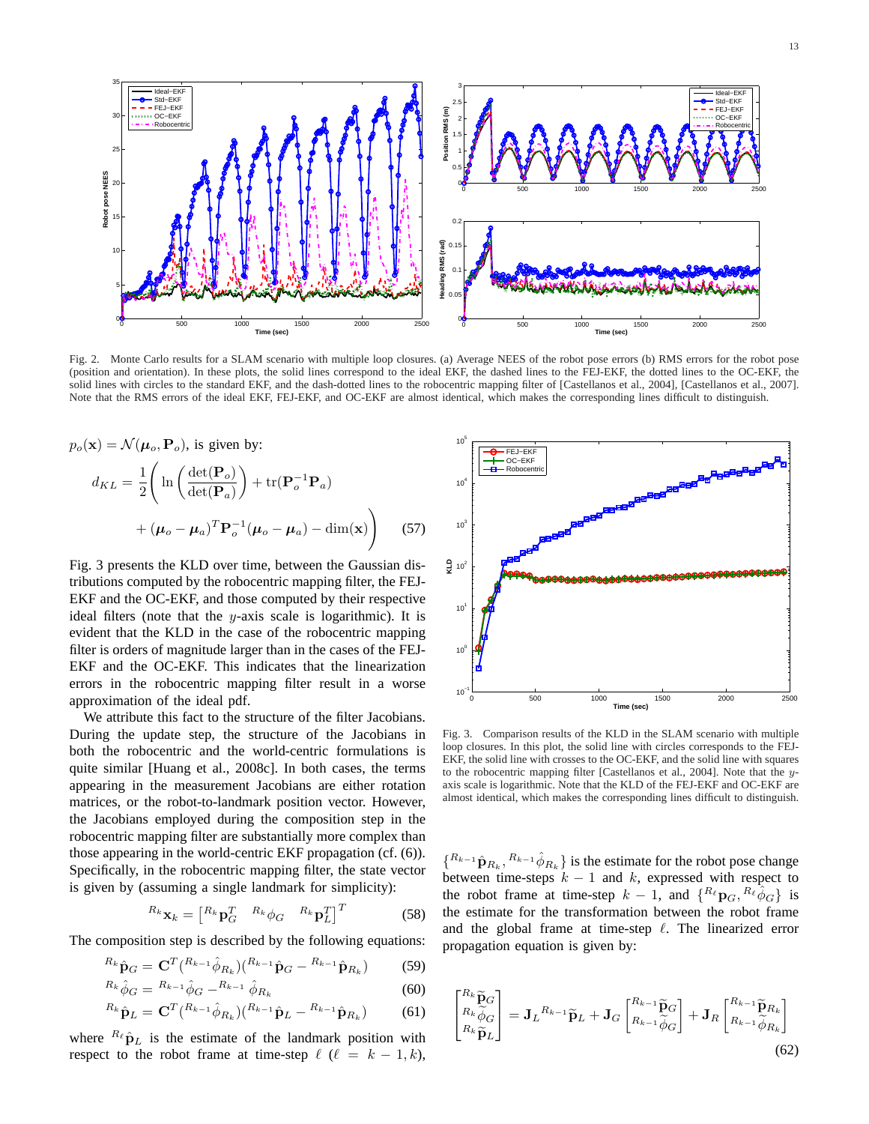

Fig. 2. Monte Carlo results for a SLAM scenario with multiple loop closures. (a) Average NEES of the robot pose errors (b) RMS errors for the robot pose (position and orientation). In these plots, the solid lines correspond to the ideal EKF, the dashed lines to the FEJ-EKF, the dotted lines to the OC-EKF, the solid lines with circles to the standard EKF, and the dash-dotted lines to the robocentric mapping filter of [Castellanos et al., 2004], [Castellanos et al., 2007]. Note that the RMS errors of the ideal EKF, FEJ-EKF, and OC-EKF are almost identical, which makes the corresponding lines difficult to distinguish.

$$
p_o(\mathbf{x}) = \mathcal{N}(\boldsymbol{\mu}_o, \mathbf{P}_o), \text{ is given by:}
$$

$$
d_{KL} = \frac{1}{2} \left( \ln \left( \frac{\det(\mathbf{P}_o)}{\det(\mathbf{P}_a)} \right) + \text{tr}(\mathbf{P}_o^{-1} \mathbf{P}_a) + (\boldsymbol{\mu}_o - \boldsymbol{\mu}_a)^T \mathbf{P}_o^{-1} (\boldsymbol{\mu}_o - \boldsymbol{\mu}_a) - \dim(\mathbf{x}) \right) \tag{57}
$$

Fig. 3 presents the KLD over time, between the Gaussian distributions computed by the robocentric mapping filter, the FEJ-EKF and the OC-EKF, and those computed by their respective ideal filters (note that the  $y$ -axis scale is logarithmic). It is evident that the KLD in the case of the robocentric mapping filter is orders of magnitude larger than in the cases of the FEJ-EKF and the OC-EKF. This indicates that the linearization errors in the robocentric mapping filter result in a worse approximation of the ideal pdf.

We attribute this fact to the structure of the filter Jacobians. During the update step, the structure of the Jacobians in both the robocentric and the world-centric formulations is quite similar [Huang et al., 2008c]. In both cases, the terms appearing in the measurement Jacobians are either rotation matrices, or the robot-to-landmark position vector. However, the Jacobians employed during the composition step in the robocentric mapping filter are substantially more complex than those appearing in the world-centric EKF propagation (cf. (6)). Specifically, in the robocentric mapping filter, the state vector is given by (assuming a single landmark for simplicity):

$$
R_k \mathbf{x}_k = \begin{bmatrix} R_k \mathbf{p}_G^T & R_k \phi_G & R_k \mathbf{p}_L^T \end{bmatrix}^T \tag{58}
$$

The composition step is described by the following equations:

$$
R_k \hat{\mathbf{p}}_G = \mathbf{C}^T \left( R_{k-1} \hat{\phi}_{R_k} \right) \left( R_{k-1} \hat{\mathbf{p}}_G - R_{k-1} \hat{\mathbf{p}}_{R_k} \right) \tag{59}
$$

$$
R_k \hat{\phi}_G = R_{k-1} \hat{\phi}_G - R_{k-1} \hat{\phi}_{R_k}
$$
 (60)

$$
R_k \hat{\mathbf{p}}_L = \mathbf{C}^T (R_{k-1} \hat{\phi}_{R_k}) (R_{k-1} \hat{\mathbf{p}}_L - R_{k-1} \hat{\mathbf{p}}_{R_k}) \tag{61}
$$

where  $R_{\ell}$   $\hat{\mathbf{p}}_L$  is the estimate of the landmark position with respect to the robot frame at time-step  $\ell$  ( $\ell = k - 1, k$ ),



Fig. 3. Comparison results of the KLD in the SLAM scenario with multiple loop closures. In this plot, the solid line with circles corresponds to the FEJ-EKF, the solid line with crosses to the OC-EKF, and the solid line with squares to the robocentric mapping filter [Castellanos et al., 2004]. Note that the yaxis scale is logarithmic. Note that the KLD of the FEJ-EKF and OC-EKF are almost identical, which makes the corresponding lines difficult to distinguish.

 $\{R_{k-1} \hat{\mathbf{p}}_{R_k}, R_{k-1} \hat{\phi}_{R_k}\}\$  is the estimate for the robot pose change between time-steps  $k - 1$  and  $k$ , expressed with respect to the robot frame at time-step  $k-1$ , and  $\{R_{\ell} \mathbf{p}_{G}, R_{\ell} \hat{\phi}_{G}\}\$  is the estimate for the transformation between the robot frame and the global frame at time-step  $\ell$ . The linearized error propagation equation is given by:

$$
\begin{bmatrix}\nR_k \widetilde{\mathbf{p}}_G \\
R_k \widetilde{\phi}_G \\
R_k \widetilde{\mathbf{p}}_L\n\end{bmatrix} = \mathbf{J}_L{}^{R_{k-1}} \widetilde{\mathbf{p}}_L + \mathbf{J}_G \begin{bmatrix}\nR_{k-1} \widetilde{\mathbf{p}}_G \\
R_{k-1} \widetilde{\phi}_G\n\end{bmatrix} + \mathbf{J}_R \begin{bmatrix}\nR_{k-1} \widetilde{\mathbf{p}}_{R_k} \\
R_{k-1} \widetilde{\phi}_{R_k}\n\end{bmatrix}
$$
\n(62)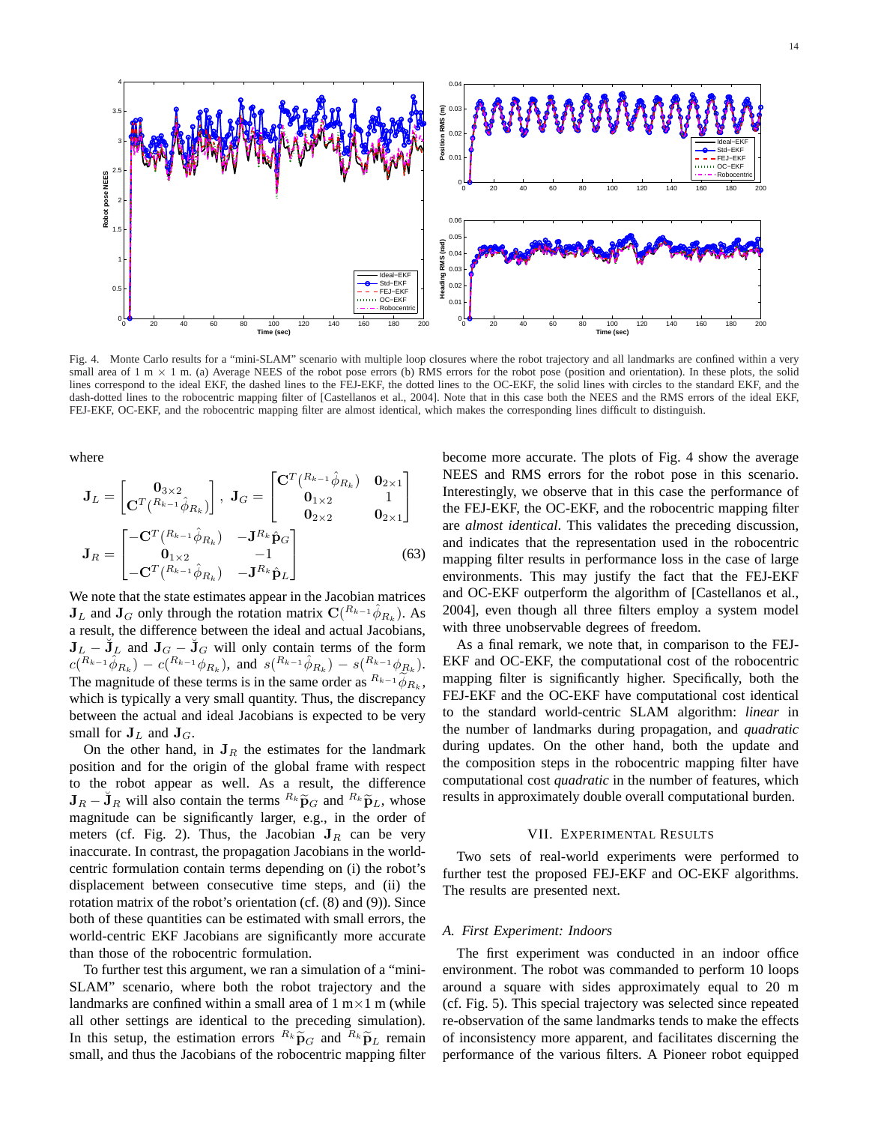

Fig. 4. Monte Carlo results for a "mini-SLAM" scenario with multiple loop closures where the robot trajectory and all landmarks are confined within a very small area of 1 m  $\times$  1 m. (a) Average NEES of the robot pose errors (b) RMS errors for the robot pose (position and orientation). In these plots, the solid lines correspond to the ideal EKF, the dashed lines to the FEJ-EKF, the dotted lines to the OC-EKF, the solid lines with circles to the standard EKF, and the dash-dotted lines to the robocentric mapping filter of [Castellanos et al., 2004]. Note that in this case both the NEES and the RMS errors of the ideal EKF, FEJ-EKF, OC-EKF, and the robocentric mapping filter are almost identical, which makes the corresponding lines difficult to distinguish.

where

$$
\mathbf{J}_{L} = \begin{bmatrix} \mathbf{0}_{3\times 2} \\ \mathbf{C}^{T} {R_{k-1} \hat{\phi}_{R_k}} \end{bmatrix}, \ \mathbf{J}_{G} = \begin{bmatrix} \mathbf{C}^{T} {R_{k-1} \hat{\phi}_{R_k}} & \mathbf{0}_{2\times 1} \\ \mathbf{0}_{1\times 2} & 1 \\ \mathbf{0}_{2\times 2} & \mathbf{0}_{2\times 1} \end{bmatrix}
$$

$$
\mathbf{J}_{R} = \begin{bmatrix} -\mathbf{C}^{T} {R_{k-1} \hat{\phi}_{R_k}} & -\mathbf{J}_{R_k} \hat{\mathbf{p}}_{G} \\ \mathbf{0}_{1\times 2} & -1 \\ -\mathbf{C}^{T} {R_{k-1} \hat{\phi}_{R_k}} & -\mathbf{J}_{R_k} \hat{\mathbf{p}}_{L} \end{bmatrix}
$$
(63)

We note that the state estimates appear in the Jacobian matrices  $J_L$  and  $J_G$  only through the rotation matrix  $\mathbf{C}({}^{R_{k-1}}\hat{\phi}_{R_k})$ . As a result, the difference between the ideal and actual Jacobians,  $J_L - J_L$  and  $J_G - J_G$  will only contain terms of the form  $c(\overline{R_{k-1} \phi}_{R_k}) - c(\overline{R_{k-1} \phi}_{R_k}), \text{ and } s(\overline{R_{k-1} \phi}_{R_k}) - s(\overline{R_{k-1} \phi}_{R_k}).$ The magnitude of these terms is in the same order as  $R_{k-1}$   $\widetilde{\phi}_{R_k}$ , which is typically a very small quantity. Thus, the discrepancy between the actual and ideal Jacobians is expected to be very small for  $J_L$  and  $J_G$ .

On the other hand, in  $J_R$  the estimates for the landmark position and for the origin of the global frame with respect to the robot appear as well. As a result, the difference  $J_R - \tilde{J}_R$  will also contain the terms  $R_k \tilde{p}_G$  and  $R_k \tilde{p}_L$ , whose magnitude can be significantly larger, e.g., in the order of meters (cf. Fig. 2). Thus, the Jacobian  $J_R$  can be very inaccurate. In contrast, the propagation Jacobians in the worldcentric formulation contain terms depending on (i) the robot's displacement between consecutive time steps, and (ii) the rotation matrix of the robot's orientation (cf. (8) and (9)). Since both of these quantities can be estimated with small errors, the world-centric EKF Jacobians are significantly more accurate than those of the robocentric formulation.

To further test this argument, we ran a simulation of a "mini-SLAM" scenario, where both the robot trajectory and the landmarks are confined within a small area of  $1 \text{ m} \times 1 \text{ m}$  (while all other settings are identical to the preceding simulation). In this setup, the estimation errors  $R_k \tilde{p}_G$  and  $R_k \tilde{p}_L$  remain small, and thus the Jacobians of the robocentric mapping filter

become more accurate. The plots of Fig. 4 show the average NEES and RMS errors for the robot pose in this scenario. Interestingly, we observe that in this case the performance of the FEJ-EKF, the OC-EKF, and the robocentric mapping filter are *almost identical*. This validates the preceding discussion, and indicates that the representation used in the robocentric mapping filter results in performance loss in the case of large environments. This may justify the fact that the FEJ-EKF and OC-EKF outperform the algorithm of [Castellanos et al., 2004], even though all three filters employ a system model with three unobservable degrees of freedom.

As a final remark, we note that, in comparison to the FEJ-EKF and OC-EKF, the computational cost of the robocentric mapping filter is significantly higher. Specifically, both the FEJ-EKF and the OC-EKF have computational cost identical to the standard world-centric SLAM algorithm: *linear* in the number of landmarks during propagation, and *quadratic* during updates. On the other hand, both the update and the composition steps in the robocentric mapping filter have computational cost *quadratic* in the number of features, which results in approximately double overall computational burden.

#### VII. EXPERIMENTAL RESULTS

Two sets of real-world experiments were performed to further test the proposed FEJ-EKF and OC-EKF algorithms. The results are presented next.

#### *A. First Experiment: Indoors*

The first experiment was conducted in an indoor office environment. The robot was commanded to perform 10 loops around a square with sides approximately equal to 20 m (cf. Fig. 5). This special trajectory was selected since repeated re-observation of the same landmarks tends to make the effects of inconsistency more apparent, and facilitates discerning the performance of the various filters. A Pioneer robot equipped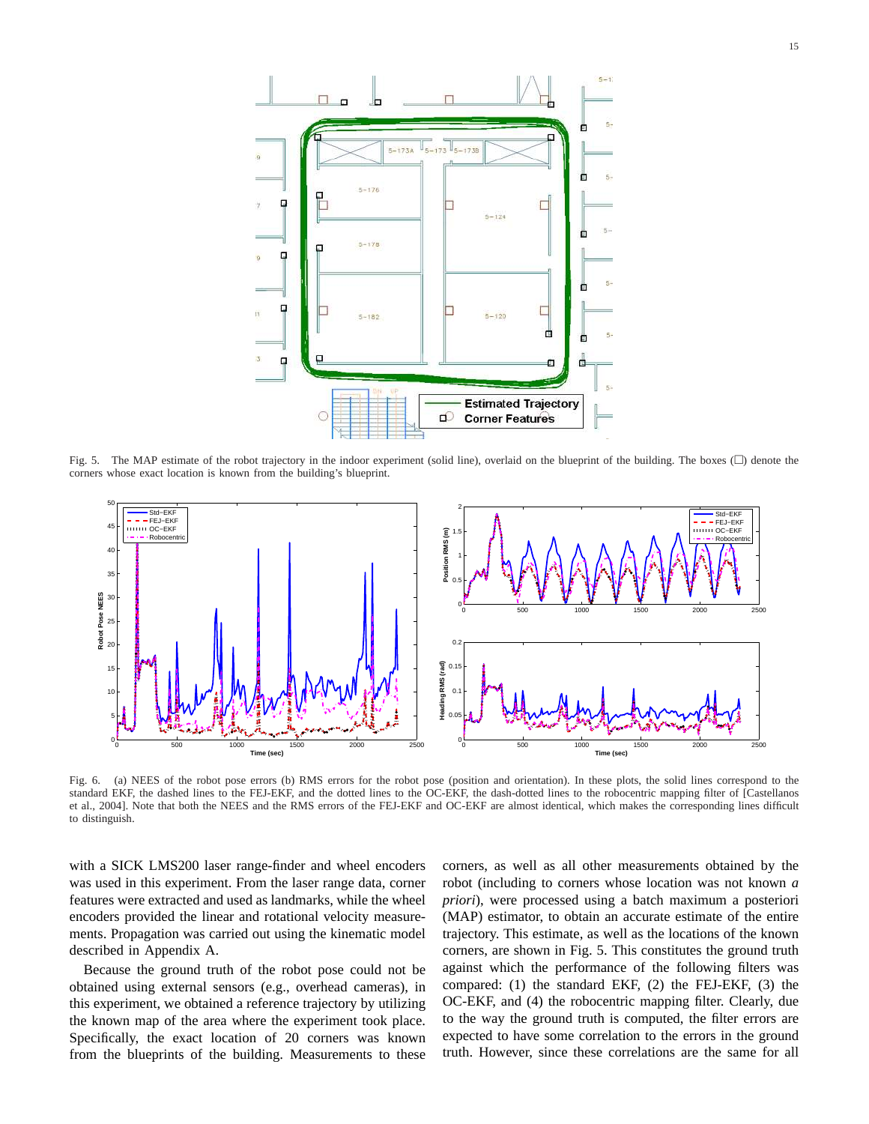

Fig. 5. The MAP estimate of the robot trajectory in the indoor experiment (solid line), overlaid on the blueprint of the building. The boxes  $(\Box)$  denote the corners whose exact location is known from the building's blueprint.



Fig. 6. (a) NEES of the robot pose errors (b) RMS errors for the robot pose (position and orientation). In these plots, the solid lines correspond to the standard EKF, the dashed lines to the FEJ-EKF, and the dotted lines to the OC-EKF, the dash-dotted lines to the robocentric mapping filter of [Castellanos et al., 2004]. Note that both the NEES and the RMS errors of the FEJ-EKF and OC-EKF are almost identical, which makes the corresponding lines difficult to distinguish.

with a SICK LMS200 laser range-finder and wheel encoders was used in this experiment. From the laser range data, corner features were extracted and used as landmarks, while the wheel encoders provided the linear and rotational velocity measurements. Propagation was carried out using the kinematic model described in Appendix A.

Because the ground truth of the robot pose could not be obtained using external sensors (e.g., overhead cameras), in this experiment, we obtained a reference trajectory by utilizing the known map of the area where the experiment took place. Specifically, the exact location of 20 corners was known from the blueprints of the building. Measurements to these

corners, as well as all other measurements obtained by the robot (including to corners whose location was not known *a priori*), were processed using a batch maximum a posteriori (MAP) estimator, to obtain an accurate estimate of the entire trajectory. This estimate, as well as the locations of the known corners, are shown in Fig. 5. This constitutes the ground truth against which the performance of the following filters was compared: (1) the standard EKF, (2) the FEJ-EKF, (3) the OC-EKF, and (4) the robocentric mapping filter. Clearly, due to the way the ground truth is computed, the filter errors are expected to have some correlation to the errors in the ground truth. However, since these correlations are the same for all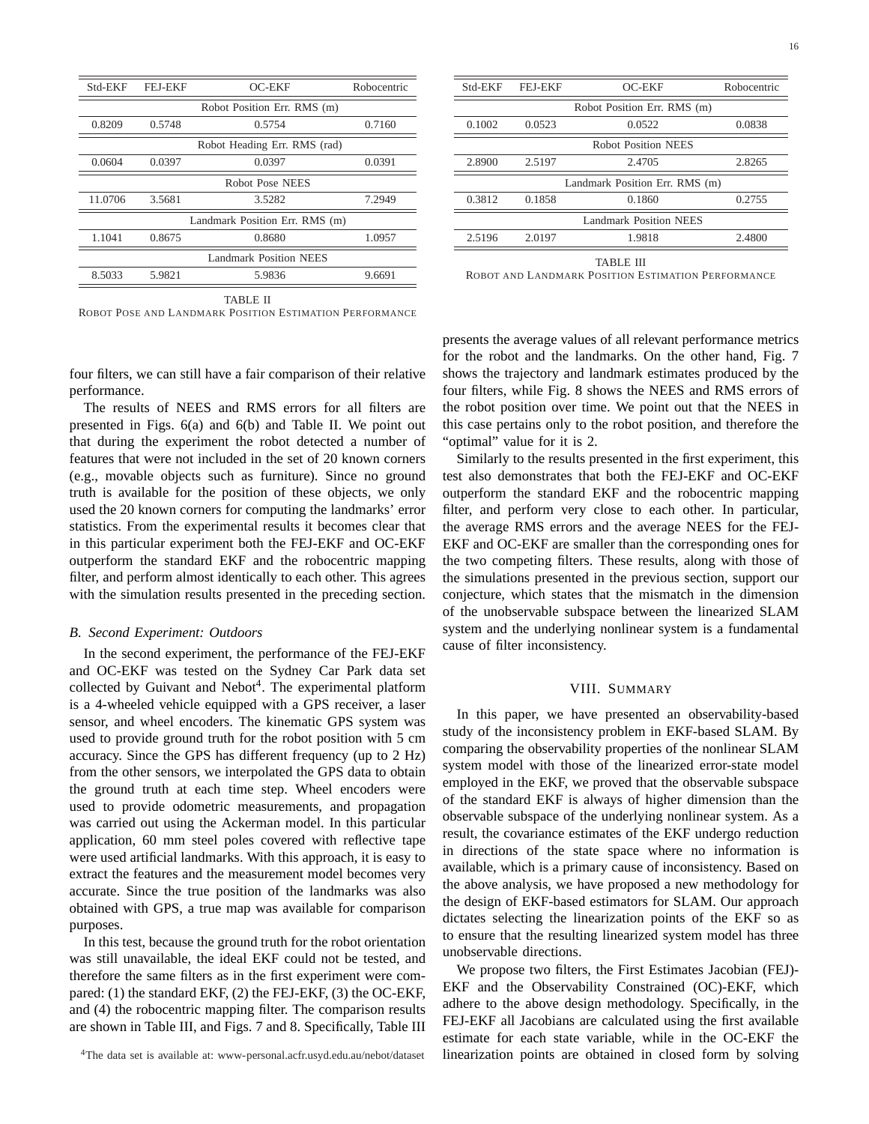| Std-EKF                      | <b>FEJ-EKF</b> | OC-EKF                         | Robocentric |  |  |
|------------------------------|----------------|--------------------------------|-------------|--|--|
| Robot Position Err. RMS (m)  |                |                                |             |  |  |
| 0.8209                       | 0.5748         | 0.5754                         | 0.7160      |  |  |
| Robot Heading Err. RMS (rad) |                |                                |             |  |  |
| 0.0604                       | 0.0397         | 0.0397                         | 0.0391      |  |  |
|                              |                | Robot Pose NEES                |             |  |  |
| 11.0706                      | 3.5681         | 3.5282                         | 7.2949      |  |  |
|                              |                | Landmark Position Err. RMS (m) |             |  |  |
| 1.1041                       | 0.8675         | 0.8680                         | 1.0957      |  |  |
|                              |                | <b>Landmark Position NEES</b>  |             |  |  |
| 8.5033                       | 5.9821         | 5.9836                         | 9.6691      |  |  |
|                              |                |                                |             |  |  |

TABLE II

ROBOT POSE AND LANDMARK POSITION ESTIMATION PERFORMANCE

four filters, we can still have a fair comparison of their relative performance.

The results of NEES and RMS errors for all filters are presented in Figs. 6(a) and 6(b) and Table II. We point out that during the experiment the robot detected a number of features that were not included in the set of 20 known corners (e.g., movable objects such as furniture). Since no ground truth is available for the position of these objects, we only used the 20 known corners for computing the landmarks' error statistics. From the experimental results it becomes clear that in this particular experiment both the FEJ-EKF and OC-EKF outperform the standard EKF and the robocentric mapping filter, and perform almost identically to each other. This agrees with the simulation results presented in the preceding section.

#### *B. Second Experiment: Outdoors*

In the second experiment, the performance of the FEJ-EKF and OC-EKF was tested on the Sydney Car Park data set collected by Guivant and Nebot<sup>4</sup>. The experimental platform is a 4-wheeled vehicle equipped with a GPS receiver, a laser sensor, and wheel encoders. The kinematic GPS system was used to provide ground truth for the robot position with 5 cm accuracy. Since the GPS has different frequency (up to 2 Hz) from the other sensors, we interpolated the GPS data to obtain the ground truth at each time step. Wheel encoders were used to provide odometric measurements, and propagation was carried out using the Ackerman model. In this particular application, 60 mm steel poles covered with reflective tape were used artificial landmarks. With this approach, it is easy to extract the features and the measurement model becomes very accurate. Since the true position of the landmarks was also obtained with GPS, a true map was available for comparison purposes.

In this test, because the ground truth for the robot orientation was still unavailable, the ideal EKF could not be tested, and therefore the same filters as in the first experiment were compared: (1) the standard EKF, (2) the FEJ-EKF, (3) the OC-EKF, and (4) the robocentric mapping filter. The comparison results are shown in Table III, and Figs. 7 and 8. Specifically, Table III

<sup>4</sup>The data set is available at: www-personal.acfr.usyd.edu.au/nebot/dataset

| <b>FEJ-EKF</b>                 | OC-EKF                        | Robocentric |  |  |  |
|--------------------------------|-------------------------------|-------------|--|--|--|
| Robot Position Err. RMS (m)    |                               |             |  |  |  |
| 0.0523                         | 0.0522                        | 0.0838      |  |  |  |
| <b>Robot Position NEES</b>     |                               |             |  |  |  |
| 2.5197                         | 2.4705                        | 2.8265      |  |  |  |
| Landmark Position Err. RMS (m) |                               |             |  |  |  |
| 0.1858                         | 0.1860                        | 0.2755      |  |  |  |
|                                | <b>Landmark Position NEES</b> |             |  |  |  |
| 2.0197                         | 1.9818                        | 2.4800      |  |  |  |
|                                |                               |             |  |  |  |

TABLE III ROBOT AND LANDMARK POSITION ESTIMATION PERFORMANCE

presents the average values of all relevant performance metrics for the robot and the landmarks. On the other hand, Fig. 7 shows the trajectory and landmark estimates produced by the four filters, while Fig. 8 shows the NEES and RMS errors of the robot position over time. We point out that the NEES in this case pertains only to the robot position, and therefore the "optimal" value for it is 2.

Similarly to the results presented in the first experiment, this test also demonstrates that both the FEJ-EKF and OC-EKF outperform the standard EKF and the robocentric mapping filter, and perform very close to each other. In particular, the average RMS errors and the average NEES for the FEJ-EKF and OC-EKF are smaller than the corresponding ones for the two competing filters. These results, along with those of the simulations presented in the previous section, support our conjecture, which states that the mismatch in the dimension of the unobservable subspace between the linearized SLAM system and the underlying nonlinear system is a fundamental cause of filter inconsistency.

#### VIII. SUMMARY

In this paper, we have presented an observability-based study of the inconsistency problem in EKF-based SLAM. By comparing the observability properties of the nonlinear SLAM system model with those of the linearized error-state model employed in the EKF, we proved that the observable subspace of the standard EKF is always of higher dimension than the observable subspace of the underlying nonlinear system. As a result, the covariance estimates of the EKF undergo reduction in directions of the state space where no information is available, which is a primary cause of inconsistency. Based on the above analysis, we have proposed a new methodology for the design of EKF-based estimators for SLAM. Our approach dictates selecting the linearization points of the EKF so as to ensure that the resulting linearized system model has three unobservable directions.

We propose two filters, the First Estimates Jacobian (FEJ)- EKF and the Observability Constrained (OC)-EKF, which adhere to the above design methodology. Specifically, in the FEJ-EKF all Jacobians are calculated using the first available estimate for each state variable, while in the OC-EKF the linearization points are obtained in closed form by solving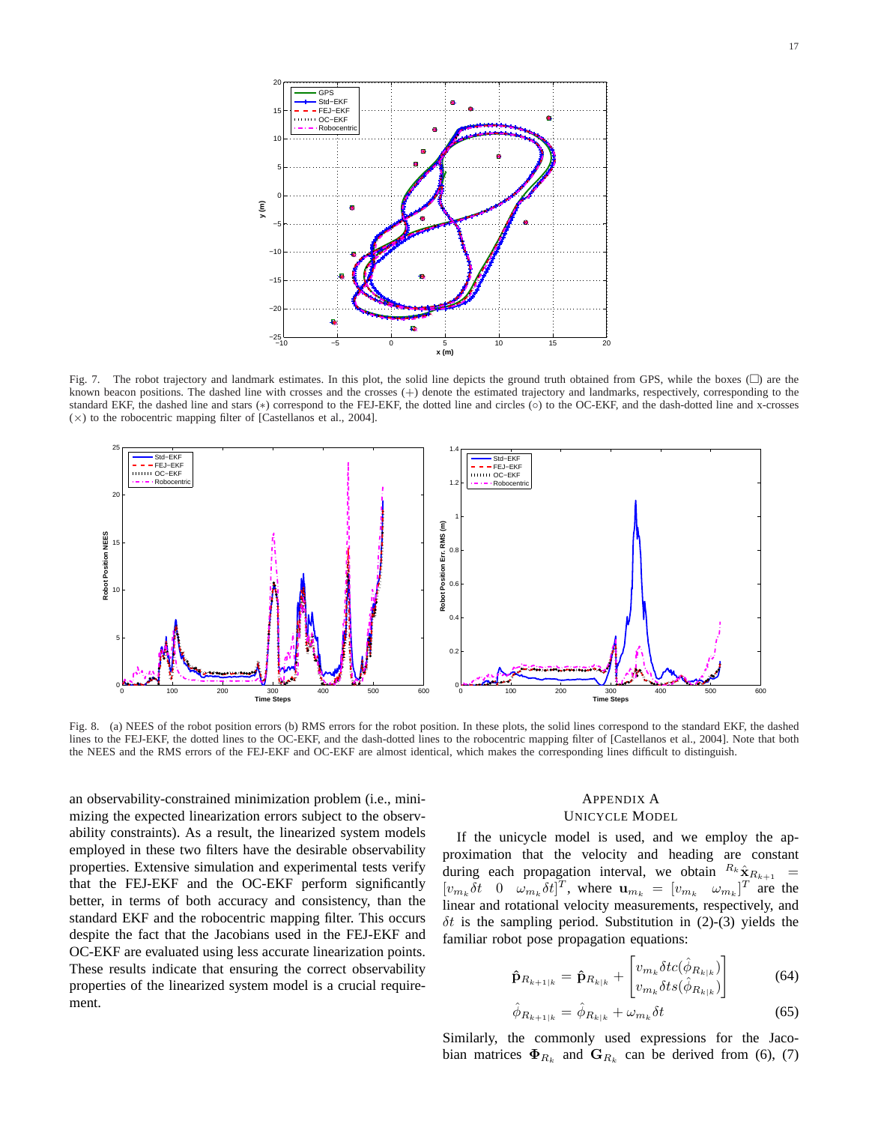

Fig. 7. The robot trajectory and landmark estimates. In this plot, the solid line depicts the ground truth obtained from GPS, while the boxes  $(\Box)$  are the known beacon positions. The dashed line with crosses and the crosses (+) denote the estimated trajectory and landmarks, respectively, corresponding to the standard EKF, the dashed line and stars (\*) correspond to the FEJ-EKF, the dotted line and circles (○) to the OC-EKF, and the dash-dotted line and x-crosses  $(x)$  to the robocentric mapping filter of [Castellanos et al., 2004].



Fig. 8. (a) NEES of the robot position errors (b) RMS errors for the robot position. In these plots, the solid lines correspond to the standard EKF, the dashed lines to the FEJ-EKF, the dotted lines to the OC-EKF, and the dash-dotted lines to the robocentric mapping filter of [Castellanos et al., 2004]. Note that both the NEES and the RMS errors of the FEJ-EKF and OC-EKF are almost identical, which makes the corresponding lines difficult to distinguish.

an observability-constrained minimization problem (i.e., minimizing the expected linearization errors subject to the observability constraints). As a result, the linearized system models employed in these two filters have the desirable observability properties. Extensive simulation and experimental tests verify that the FEJ-EKF and the OC-EKF perform significantly better, in terms of both accuracy and consistency, than the standard EKF and the robocentric mapping filter. This occurs despite the fact that the Jacobians used in the FEJ-EKF and OC-EKF are evaluated using less accurate linearization points. These results indicate that ensuring the correct observability properties of the linearized system model is a crucial requirement.

## APPENDIX A UNICYCLE MODEL

If the unicycle model is used, and we employ the approximation that the velocity and heading are constant during each propagation interval, we obtain  $R_k \hat{\mathbf{x}}_{R_{k+1}}$  =  $[v_{m_k} \delta t \quad 0 \quad \omega_{m_k} \delta t]^T$ , where  $\mathbf{u}_{m_k} = [v_{m_k} \quad \omega_{m_k}]^T$  are the linear and rotational velocity measurements, respectively, and  $\delta t$  is the sampling period. Substitution in (2)-(3) yields the familiar robot pose propagation equations: " #

$$
\hat{\mathbf{p}}_{R_{k+1|k}} = \hat{\mathbf{p}}_{R_{k|k}} + \begin{bmatrix} v_{m_k} \delta t c(\hat{\phi}_{R_{k|k}}) \\ v_{m_k} \delta t s(\hat{\phi}_{R_{k|k}}) \end{bmatrix}
$$
(64)

$$
\hat{\phi}_{R_{k+1|k}} = \hat{\phi}_{R_{k|k}} + \omega_{m_k} \delta t \tag{65}
$$

Similarly, the commonly used expressions for the Jacobian matrices  $\Phi_{R_k}$  and  $\mathbf{G}_{R_k}$  can be derived from (6), (7)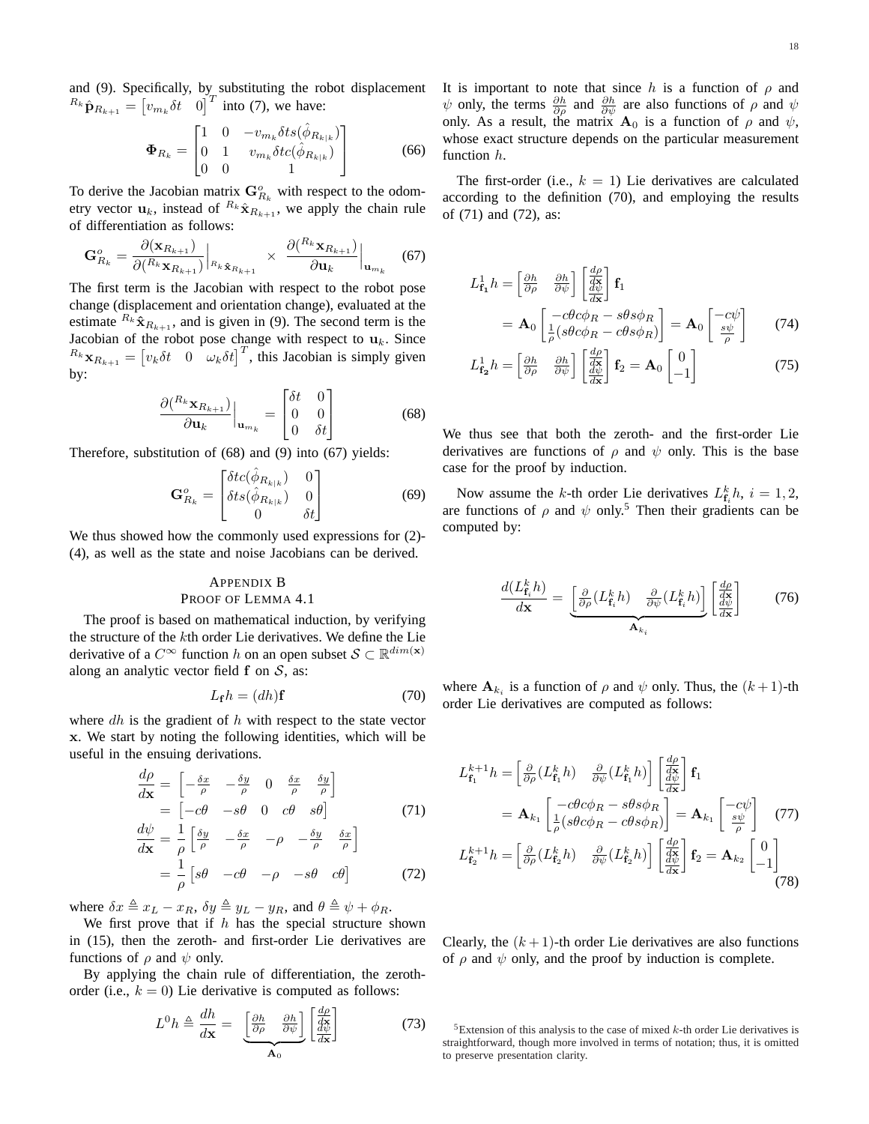and (9). Specifically, by substituting the robot displacement  $R_k \hat{\mathbf{p}}_{R_{k+1}} = \begin{bmatrix} v_{m_k} \delta t & 0 \end{bmatrix}^T$  into (7), we have:

$$
\Phi_{R_k} = \begin{bmatrix} 1 & 0 & -v_{m_k} \delta t s(\hat{\phi}_{R_{k|k}}) \\ 0 & 1 & v_{m_k} \delta t c(\hat{\phi}_{R_{k|k}}) \\ 0 & 0 & 1 \end{bmatrix}
$$
 (66)

To derive the Jacobian matrix  $\mathbf{G}_{R_k}^o$  with respect to the odometry vector  $\mathbf{u}_k$ , instead of  $R_k \hat{\mathbf{x}}_{R_{k+1}}$ , we apply the chain rule of differentiation as follows:

$$
\mathbf{G}_{R_k}^o = \frac{\partial(\mathbf{x}_{R_{k+1}})}{\partial\left(\mathbf{R}_k\mathbf{x}_{R_{k+1}}\right)}\Big|_{R_k\hat{\mathbf{x}}_{R_{k+1}}} \times \frac{\partial\left(\mathbf{R}_k\mathbf{x}_{R_{k+1}}\right)}{\partial\mathbf{u}_k}\Big|_{\mathbf{u}_{m_k}} \quad (67)
$$

The first term is the Jacobian with respect to the robot pose change (displacement and orientation change), evaluated at the estimate  $R_k \hat{\mathbf{x}}_{R_{k+1}}$ , and is given in (9). The second term is the Jacobian of the robot pose change with respect to  $\mathbf{u}_k$ . Since Bacobian of the food pose change with respect to  $\mathbf{u}_k$ . Since  $R_k \mathbf{x}_{R_{k+1}} = \begin{bmatrix} v_k \delta t & 0 & \omega_k \delta t \end{bmatrix}^T$ , this Jacobian is simply given by:  $\overline{a}$  $\overline{a}$ 

$$
\frac{\partial (R_k \mathbf{x}_{R_{k+1}})}{\partial \mathbf{u}_k}\Big|_{\mathbf{u}_{m_k}} = \begin{bmatrix} \delta t & 0\\ 0 & 0\\ 0 & \delta t \end{bmatrix}
$$
(68)

Therefore, substitution of (68) and (9) into (67) yields:  $\frac{1}{1}$  $\overline{a}$ 

$$
\mathbf{G}_{R_k}^o = \begin{bmatrix} \delta tc(\hat{\phi}_{R_{k|k}}) & 0\\ \delta ts(\hat{\phi}_{R_{k|k}}) & 0\\ 0 & \delta t \end{bmatrix}
$$
 (69)

We thus showed how the commonly used expressions for (2)- (4), as well as the state and noise Jacobians can be derived.

## APPENDIX B PROOF OF LEMMA 4.1

The proof is based on mathematical induction, by verifying the structure of the kth order Lie derivatives. We define the Lie derivative of a  $C^{\infty}$  function h on an open subset  $\mathcal{S} \subset \mathbb{R}^{dim(\mathbf{x})}$ along an analytic vector field  $f$  on  $S$ , as:

$$
L_{\mathbf{f}}h = (dh)\mathbf{f} \tag{70}
$$

where  $dh$  is the gradient of  $h$  with respect to the state vector x. We start by noting the following identities, which will be useful in the ensuing derivations.

$$
\frac{d\rho}{d\mathbf{x}} = \begin{bmatrix} -\frac{\delta x}{\rho} & -\frac{\delta y}{\rho} & 0 & \frac{\delta x}{\rho} & \frac{\delta y}{\rho} \end{bmatrix}
$$
  
\n
$$
= \begin{bmatrix} -c\theta & -s\theta & 0 & c\theta & s\theta \end{bmatrix}
$$
(71)  
\n
$$
\frac{d\psi}{d\mathbf{x}} = \frac{1}{\rho} \begin{bmatrix} \frac{\delta y}{\rho} & -\frac{\delta x}{\rho} & -\rho & -\frac{\delta y}{\rho} & \frac{\delta x}{\rho} \end{bmatrix}
$$
  
\n
$$
= \frac{1}{\rho} \begin{bmatrix} s\theta & -c\theta & -\rho & -s\theta & c\theta \end{bmatrix}
$$
(72)

where  $\delta x \triangleq x_L - x_R$ ,  $\delta y \triangleq y_L - y_R$ , and  $\theta \triangleq \psi + \phi_R$ .

We first prove that if  $h$  has the special structure shown in (15), then the zeroth- and first-order Lie derivatives are functions of  $\rho$  and  $\psi$  only.

By applying the chain rule of differentiation, the zerothorder (i.e.,  $k = 0$ ) Lie derivative is computed as follows:

$$
L^{0}h \triangleq \frac{dh}{d\mathbf{x}} = \underbrace{\begin{bmatrix} \frac{\partial h}{\partial \rho} & \frac{\partial h}{\partial \psi} \end{bmatrix}}_{\mathbf{A}_{0}} \begin{bmatrix} \frac{d\rho}{d\mathbf{x}} \\ \frac{d\psi}{d\mathbf{x}} \end{bmatrix}
$$
(73)

It is important to note that since h is a function of  $\rho$  and  $\psi$  only, the terms  $\frac{\partial h}{\partial \rho}$  and  $\frac{\partial h}{\partial \psi}$  are also functions of  $\rho$  and  $\psi$ only. As a result, the matrix  $\mathbf{A}_0$  is a function of  $\rho$  and  $\psi$ , whose exact structure depends on the particular measurement function h.

The first-order (i.e.,  $k = 1$ ) Lie derivatives are calculated according to the definition (70), and employing the results of (71) and (72), as:

$$
L_{\mathbf{f}_1}^1 h = \begin{bmatrix} \frac{\partial h}{\partial \rho} & \frac{\partial h}{\partial \psi} \end{bmatrix} \begin{bmatrix} \frac{d\rho}{dx} \\ \frac{d\psi}{dx} \end{bmatrix} \mathbf{f}_1
$$
  
=  $\mathbf{A}_0 \begin{bmatrix} -c\theta c\phi_R - s\theta s\phi_R \\ \frac{1}{\rho} (s\theta c\phi_R - c\theta s\phi_R) \end{bmatrix} = \mathbf{A}_0 \begin{bmatrix} -c\psi \\ \frac{s\psi}{\rho} \end{bmatrix}$  (74)

$$
L_{\mathbf{f}_2}^1 h = \begin{bmatrix} \frac{\partial h}{\partial \rho} & \frac{\partial h}{\partial \psi} \end{bmatrix} \begin{bmatrix} \frac{d\rho}{dx} \\ \frac{d\psi}{dx} \end{bmatrix} \mathbf{f}_2 = \mathbf{A}_0 \begin{bmatrix} 0 \\ -1 \end{bmatrix}
$$
(75)

We thus see that both the zeroth- and the first-order Lie derivatives are functions of  $\rho$  and  $\psi$  only. This is the base case for the proof by induction.

Now assume the k-th order Lie derivatives  $L_{\mathbf{f}_i}^k h$ ,  $i = 1, 2$ , are functions of  $\rho$  and  $\psi$  only.<sup>5</sup> Then their gradients can be computed by:

$$
\frac{d(L_{\mathbf{f}_i}^k h)}{d\mathbf{x}} = \underbrace{\begin{bmatrix} \frac{\partial}{\partial \rho}(L_{\mathbf{f}_i}^k h) & \frac{\partial}{\partial \psi}(L_{\mathbf{f}_i}^k h) \end{bmatrix}}_{\mathbf{A}_{k_i}} \begin{bmatrix} \frac{d\rho}{d\mathbf{x}} \\ \frac{d\psi}{d\mathbf{x}} \end{bmatrix}
$$
(76)

where  $\mathbf{A}_{k_i}$  is a function of  $\rho$  and  $\psi$  only. Thus, the  $(k+1)$ -th order Lie derivatives are computed as follows:

$$
L_{\mathbf{f}_1}^{k+1}h = \begin{bmatrix} \frac{\partial}{\partial \rho} (L_{\mathbf{f}_1}^k h) & \frac{\partial}{\partial \psi} (L_{\mathbf{f}_1}^k h) \end{bmatrix} \begin{bmatrix} \frac{d\rho}{d\mathbf{x}} \\ \frac{d\psi}{d\mathbf{x}} \end{bmatrix} \mathbf{f}_1
$$
  
\n
$$
= \mathbf{A}_{k_1} \begin{bmatrix} -c\theta c\phi_R - s\theta s\phi_R \\ \frac{1}{\rho} (s\theta c\phi_R - c\theta s\phi_R) \end{bmatrix} = \mathbf{A}_{k_1} \begin{bmatrix} -c\psi \\ \frac{s\psi}{\rho} \end{bmatrix} (77)
$$
  
\n
$$
L_{\mathbf{f}_2}^{k+1}h = \begin{bmatrix} \frac{\partial}{\partial \rho} (L_{\mathbf{f}_2}^k h) & \frac{\partial}{\partial \psi} (L_{\mathbf{f}_2}^k h) \end{bmatrix} \begin{bmatrix} \frac{d\rho}{d\mathbf{x}} \\ \frac{d\psi}{d\mathbf{x}} \end{bmatrix} \mathbf{f}_2 = \mathbf{A}_{k_2} \begin{bmatrix} 0 \\ -1 \end{bmatrix}
$$
  
\n(78)

Clearly, the  $(k+1)$ -th order Lie derivatives are also functions of  $\rho$  and  $\psi$  only, and the proof by induction is complete.

<sup>5</sup>Extension of this analysis to the case of mixed  $k$ -th order Lie derivatives is straightforward, though more involved in terms of notation; thus, it is omitted to preserve presentation clarity.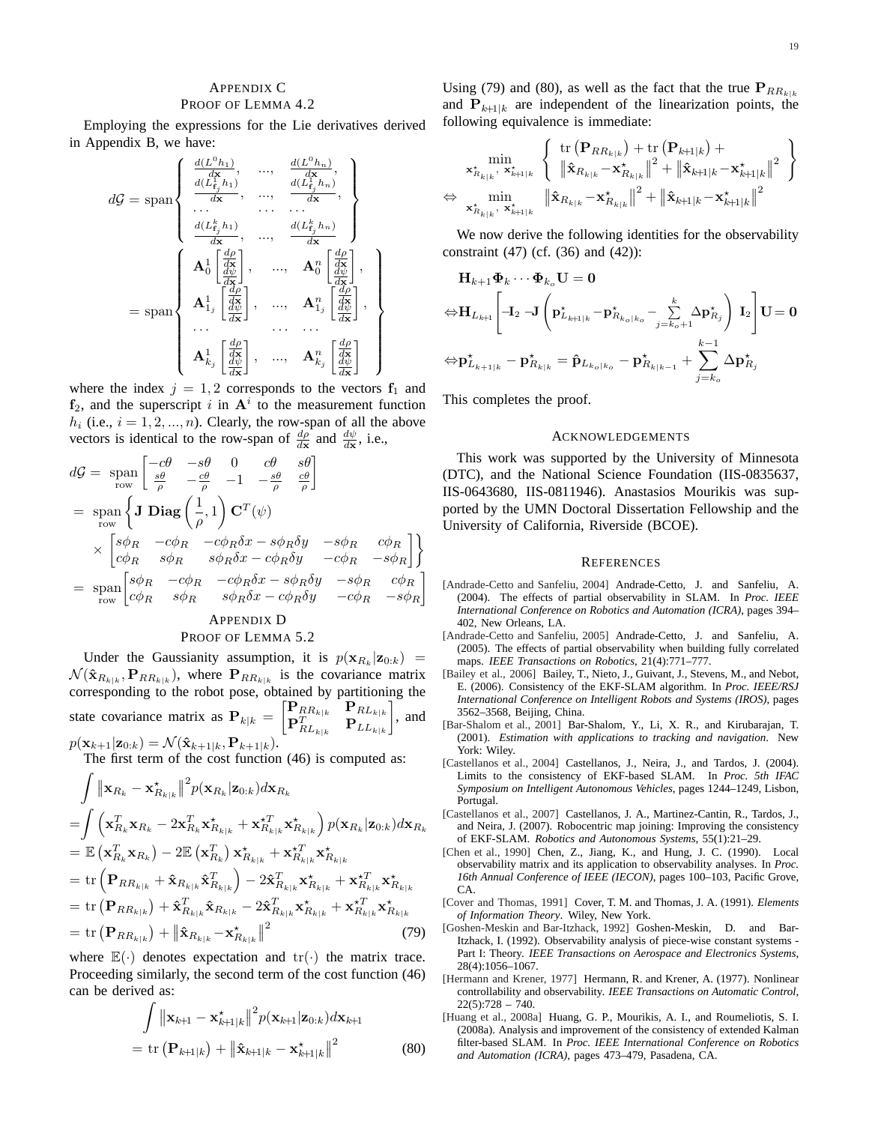# APPENDIX C

#### PROOF OF LEMMA 4.2

Employing the expressions for the Lie derivatives derived in Appendix B, we have:

$$
d\mathcal{G} = \text{span}\left\{\begin{array}{c}\frac{d(L^{0}h_{1})}{dx}, \quad \dots, \quad \frac{d(L^{0}h_{n})}{dx}, \\
\frac{d(L^{k}_{f_{j}}h_{1})}{dx}, \quad \dots, \quad \frac{d(L^{k}_{f_{j}}h_{n})}{dx}, \\
\vdots \quad \dots \quad \dots \quad \dots \\
\frac{d(L^{k}_{f_{j}}h_{1})}{dx}, \quad \dots, \quad \frac{d(L^{k}_{f_{j}}h_{n})}{dx}\n\end{array}\right\}
$$
\n
$$
= \text{span}\left\{\begin{array}{c}\n\mathbf{A}_{0}^{1}\left[\frac{d\rho}{dx}\right], \quad \dots, \quad \mathbf{A}_{0}^{n}\left[\frac{d\rho}{dx}\right], \\
\frac{d\rho}{dx}, \quad \dots, \quad \mathbf{A}_{1}^{n}\left[\frac{d\rho}{dx}\right], \\
\vdots \quad \dots \quad \dots \quad \dots \\
\mathbf{A}_{k_{j}}^{1}\left[\frac{d\rho}{dx}\right], \quad \dots, \quad \mathbf{A}_{k_{j}}^{n}\left[\frac{d\rho}{dx}\right], \\
\dots \quad \dots \quad \dots \quad \dots \\
\mathbf{A}_{k_{j}}^{1}\left[\frac{d\rho}{dx}\right], \quad \dots, \quad \mathbf{A}_{k_{j}}^{n}\left[\frac{d\rho}{dx}\right]\n\end{array}\right\}
$$

where the index  $j = 1, 2$  corresponds to the vectors  $f_1$  and  $f_2$ , and the superscript i in  $A^i$  to the measurement function  $h_i$  (i.e.,  $i = 1, 2, ..., n$ ). Clearly, the row-span of all the above vectors is identical to the row-span of  $\frac{d\rho}{dx}$  and  $\frac{d\psi}{dx}$ , i.e.,

$$
d\mathcal{G} = \text{span}_{\text{row}} \begin{bmatrix} -c\theta & -s\theta & 0 & c\theta & s\theta \\ \frac{s\theta}{\rho} & -\frac{c\theta}{\rho} & -1 & -\frac{s\theta}{\rho} & \frac{c\theta}{\rho} \end{bmatrix}
$$
  
= 
$$
\text{span}_{\text{row}} \left\{ \mathbf{J} \text{ Diag} \left( \frac{1}{\rho}, 1 \right) \mathbf{C}^T(\psi)
$$
  

$$
\times \begin{bmatrix} s\phi_R & -c\phi_R & -c\phi_R\delta x - s\phi_R\delta y & -s\phi_R & c\phi_R \\ c\phi_R & s\phi_R & s\phi_R\delta x - c\phi_R\delta y & -c\phi_R & -s\phi_R \end{bmatrix} \right\}
$$
  
= 
$$
\text{span}_{\text{row}} \begin{bmatrix} s\phi_R & -c\phi_R & -c\phi_R\delta x - s\phi_R\delta y & -s\phi_R & c\phi_R \\ c\phi_R & s\phi_R & s\phi_R\delta x - c\phi_R\delta y & -c\phi_R & -s\phi_R \end{bmatrix}
$$

## APPENDIX D PROOF OF LEMMA 5.2

Under the Gaussianity assumption, it is  $p(\mathbf{x}_{R_k}|\mathbf{z}_{0:k})$  =  $\mathcal{N}(\hat{\mathbf{x}}_{R_{k|k}}, \mathbf{P}_{RR_{k|k}})$ , where  $\mathbf{P}_{RR_{k|k}}$  is the covariance matrix corresponding to the robot pose, obtained by partitioning the state covariance matrix as  $P_{k|k} = \begin{bmatrix} P_{RR_{k|k}} & P_{RL_{k|k}} \\ \mathbf{p}_{T}^{T} & \mathbf{p}_{T} \end{bmatrix}$  $\mathbf{P}_{RL_{k|k}}^T$   $\mathbf{P}_{LL_{k|k}}^{L_{Lk|k}}$ , and  $p(\mathbf{x}_{k+1}|\mathbf{z}_{0:k}) = \mathcal{N}(\mathbf{\hat{x}}_{k+1|k}, \mathbf{P}_{k+1|k}).$ 

The first term of the cost function  $(46)$  is computed as:

$$
\int \|\mathbf{x}_{R_{k}} - \mathbf{x}_{R_{k|k}}^{\star}\|^{2} p(\mathbf{x}_{R_{k}}|\mathbf{z}_{0:k}) d\mathbf{x}_{R_{k}}\n= \int (\mathbf{x}_{R_{k}}^{T} \mathbf{x}_{R_{k}} - 2\mathbf{x}_{R_{k}}^{T} \mathbf{x}_{R_{k|k}}^{\star} + \mathbf{x}_{R_{k|k}}^{\star T} \mathbf{x}_{R_{k|k}}^{\star}) p(\mathbf{x}_{R_{k}}|\mathbf{z}_{0:k}) d\mathbf{x}_{R_{k}}\n= \mathbb{E} (\mathbf{x}_{R_{k}}^{T} \mathbf{x}_{R_{k}}) - 2\mathbb{E} (\mathbf{x}_{R_{k}}^{T}) \mathbf{x}_{R_{k|k}}^{\star} + \mathbf{x}_{R_{k|k}}^{\star T} \mathbf{x}_{R_{k|k}}^{\star}\n= tr (\mathbf{P}_{RR_{k|k}} + \hat{\mathbf{x}}_{R_{k|k}} \hat{\mathbf{x}}_{R_{k|k}}^{T}) - 2\hat{\mathbf{x}}_{R_{k|k}}^{T} \mathbf{x}_{R_{k|k}}^{\star} + \mathbf{x}_{R_{k|k}}^{\star T} \mathbf{x}_{R_{k|k}}^{\star}\n= tr (\mathbf{P}_{RR_{k|k}}) + \hat{\mathbf{x}}_{R_{k|k}}^{T} \hat{\mathbf{x}}_{R_{k|k}} - 2\hat{\mathbf{x}}_{R_{k|k}}^{T} \mathbf{x}_{R_{k|k}}^{\star} + \mathbf{x}_{R_{k|k}}^{\star T} \mathbf{x}_{R_{k|k}}^{\star}\n= tr (\mathbf{P}_{RR_{k|k}}) + \|\hat{\mathbf{x}}_{R_{k|k}} - \mathbf{x}_{R_{k|k}}^{\star}\|^{2}
$$
\n(79)

where  $\mathbb{E}(\cdot)$  denotes expectation and  $\text{tr}(\cdot)$  the matrix trace. Proceeding similarly, the second term of the cost function (46) can be derived as:

$$
\int \left\| \mathbf{x}_{k+1} - \mathbf{x}_{k+1|k}^* \right\|^2 p(\mathbf{x}_{k+1} | \mathbf{z}_{0:k}) d\mathbf{x}_{k+1}
$$
\n
$$
= \text{tr} \left( \mathbf{P}_{k+1|k} \right) + \left\| \hat{\mathbf{x}}_{k+1|k} - \mathbf{x}_{k+1|k}^* \right\|^2 \tag{80}
$$

Using (79) and (80), as well as the fact that the true  ${\bf P}_{RR_{k|k}}$ and  $P_{k+1|k}$  are independent of the linearization points, the following equivalence is immediate:

$$
\min_{\begin{array}{c} {\bf x}^\star_{R_{k|k}},\, {\bf x}^\star_{k+1|k} \end{array}} \left\{ \begin{array}{l} \operatorname{tr}\left({\bf P}_{RR_{k|k}}\right)+\operatorname{tr}\left({\bf P}_{k+1|k}\right)+\\\left\|{\hat {\bf x}}_{R_{k|k}}-{\bf x}^\star_{R_{k|k}}\right\|^2+\left\|{\hat {\bf x}}_{k+1|k}-{\bf x}^\star_{k+1|k}\right\|^2 \end{array}\right\}
$$

We now derive the following identities for the observability constraint (47) (cf. (36) and (42)):

$$
\begin{aligned}\n\mathbf{H}_{k+1} \boldsymbol{\Phi}_k \cdots \boldsymbol{\Phi}_{k_o} \mathbf{U} &= \mathbf{0} \\
&\Leftrightarrow \mathbf{H}_{L_{k+1}} \begin{bmatrix}\n\mathbf{-I}_2 & -\mathbf{J} \left( \mathbf{p}_{L_{k+1|k}}^{\star} - \mathbf{p}_{R_{k_o|k_o}}^{\star} - \sum_{j=k_o+1}^k \Delta \mathbf{p}_{R_j}^{\star} \right) \mathbf{I}_2\n\end{bmatrix} \mathbf{U} &= \mathbf{0} \\
&\Leftrightarrow \mathbf{p}_{L_{k+1|k}}^{\star} - \mathbf{p}_{R_{k|k}}^{\star} = \hat{\mathbf{p}}_{L_{k_o|k_o}} - \mathbf{p}_{R_{k|k-1}}^{\star} + \sum_{j=k_o}^{k-1} \Delta \mathbf{p}_{R_j}^{\star}\n\end{aligned}
$$

This completes the proof.

#### ACKNOWLEDGEMENTS

This work was supported by the University of Minnesota (DTC), and the National Science Foundation (IIS-0835637, IIS-0643680, IIS-0811946). Anastasios Mourikis was supported by the UMN Doctoral Dissertation Fellowship and the University of California, Riverside (BCOE).

#### **REFERENCES**

- [Andrade-Cetto and Sanfeliu, 2004] Andrade-Cetto, J. and Sanfeliu, A. (2004). The effects of partial observability in SLAM. In *Proc. IEEE International Conference on Robotics and Automation (ICRA)*, pages 394– 402, New Orleans, LA.
- [Andrade-Cetto and Sanfeliu, 2005] Andrade-Cetto, J. and Sanfeliu, A. (2005). The effects of partial observability when building fully correlated maps. *IEEE Transactions on Robotics*, 21(4):771–777.
- [Bailey et al., 2006] Bailey, T., Nieto, J., Guivant, J., Stevens, M., and Nebot, E. (2006). Consistency of the EKF-SLAM algorithm. In *Proc. IEEE/RSJ International Conference on Intelligent Robots and Systems (IROS)*, pages 3562–3568, Beijing, China.
- [Bar-Shalom et al., 2001] Bar-Shalom, Y., Li, X. R., and Kirubarajan, T. (2001). *Estimation with applications to tracking and navigation*. New York: Wiley.
- [Castellanos et al., 2004] Castellanos, J., Neira, J., and Tardos, J. (2004). Limits to the consistency of EKF-based SLAM. In *Proc. 5th IFAC Symposium on Intelligent Autonomous Vehicles*, pages 1244–1249, Lisbon, Portugal.
- [Castellanos et al., 2007] Castellanos, J. A., Martinez-Cantin, R., Tardos, J., and Neira, J. (2007). Robocentric map joining: Improving the consistency of EKF-SLAM. *Robotics and Autonomous Systems*, 55(1):21–29.
- [Chen et al., 1990] Chen, Z., Jiang, K., and Hung, J. C. (1990). Local observability matrix and its application to observability analyses. In *Proc. 16th Annual Conference of IEEE (IECON)*, pages 100–103, Pacific Grove, CA.
- [Cover and Thomas, 1991] Cover, T. M. and Thomas, J. A. (1991). *Elements of Information Theory*. Wiley, New York.
- [Goshen-Meskin and Bar-Itzhack, 1992] Goshen-Meskin, D. and Bar-Itzhack, I. (1992). Observability analysis of piece-wise constant systems - Part I: Theory. *IEEE Transactions on Aerospace and Electronics Systems*, 28(4):1056–1067.
- [Hermann and Krener, 1977] Hermann, R. and Krener, A. (1977). Nonlinear controllability and observability. *IEEE Transactions on Automatic Control*,  $22(5):728 - 740.$
- [Huang et al., 2008a] Huang, G. P., Mourikis, A. I., and Roumeliotis, S. I. (2008a). Analysis and improvement of the consistency of extended Kalman filter-based SLAM. In *Proc. IEEE International Conference on Robotics and Automation (ICRA)*, pages 473–479, Pasadena, CA.